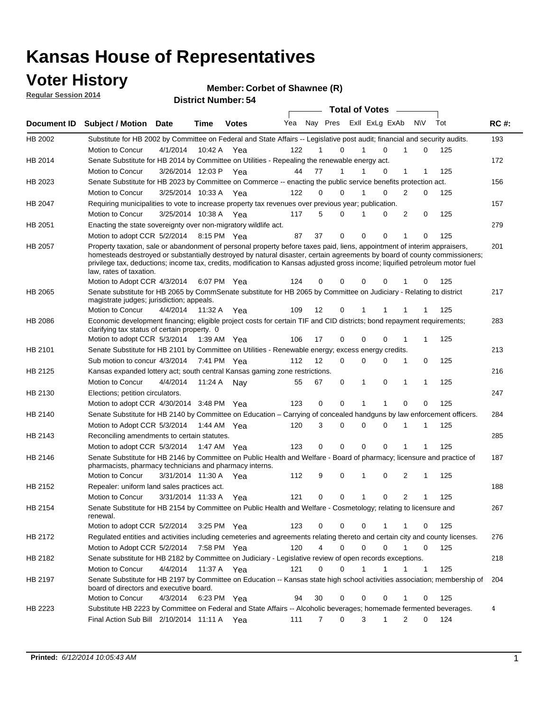### **Voter History**

**Regular Session 2014**

#### **Member: Corbet of Shawnee (R)**

|             |                                                                                                                                                                                                                                                                                      |                       |             | DISTRICT MAILINGLED4 |     |    |                  | <b>Total of Votes</b> |                |                             |          |     |             |
|-------------|--------------------------------------------------------------------------------------------------------------------------------------------------------------------------------------------------------------------------------------------------------------------------------------|-----------------------|-------------|----------------------|-----|----|------------------|-----------------------|----------------|-----------------------------|----------|-----|-------------|
| Document ID | <b>Subject / Motion</b>                                                                                                                                                                                                                                                              | <b>Date</b>           | Time        | <b>Votes</b>         | Yea |    | Nay Pres         |                       | Exll ExLg ExAb | <b>NV</b>                   |          | Tot | <b>RC#:</b> |
| HB 2002     | Substitute for HB 2002 by Committee on Federal and State Affairs -- Legislative post audit; financial and security audits.                                                                                                                                                           |                       |             |                      |     |    |                  |                       |                |                             |          |     | 193         |
|             | Motion to Concur                                                                                                                                                                                                                                                                     | 4/1/2014              |             | 10:42 A Yea          | 122 |    | $\Omega$         |                       | $\Omega$       |                             | $\Omega$ | 125 |             |
| HB 2014     | Senate Substitute for HB 2014 by Committee on Utilities - Repealing the renewable energy act.                                                                                                                                                                                        |                       |             |                      |     |    |                  |                       |                |                             |          |     | 172         |
|             | Motion to Concur                                                                                                                                                                                                                                                                     | 3/26/2014 12:03 P Yea |             |                      | 44  | 77 | 1                |                       | 0              | 1                           |          | 125 |             |
| HB 2023     | Senate Substitute for HB 2023 by Committee on Commerce -- enacting the public service benefits protection act.                                                                                                                                                                       |                       |             |                      |     |    |                  |                       |                |                             |          |     | 156         |
|             | Motion to Concur                                                                                                                                                                                                                                                                     | 3/25/2014 10:33 A Yea |             |                      | 122 |    | 0<br>0           | 1                     | 0              | 2                           | 0        | 125 |             |
| HB 2047     | Requiring municipalities to vote to increase property tax revenues over previous year; publication.                                                                                                                                                                                  |                       |             |                      |     |    |                  |                       |                |                             |          |     | 157         |
|             | Motion to Concur                                                                                                                                                                                                                                                                     | 3/25/2014 10:38 A     |             | Yea                  | 117 |    | 5<br>0           |                       | 0              | 2                           | 0        | 125 |             |
| HB 2051     | Enacting the state sovereignty over non-migratory wildlife act.                                                                                                                                                                                                                      |                       |             |                      |     |    |                  |                       |                |                             |          |     | 279         |
|             | Motion to adopt CCR 5/2/2014                                                                                                                                                                                                                                                         |                       | 8:15 PM Yea |                      | 87  | 37 | 0                | $\Omega$              | $\Omega$       | 1                           | 0        | 125 |             |
| HB 2057     | Property taxation, sale or abandonment of personal property before taxes paid, liens, appointment of interim appraisers,                                                                                                                                                             |                       |             |                      |     |    |                  |                       |                |                             |          |     | 201         |
|             | homesteads destroyed or substantially destroyed by natural disaster, certain agreements by board of county commissioners;<br>privilege tax, deductions; income tax, credits, modification to Kansas adjusted gross income; liquified petroleum motor fuel<br>law, rates of taxation. |                       |             |                      |     |    |                  |                       |                |                             |          |     |             |
|             | Motion to Adopt CCR 4/3/2014                                                                                                                                                                                                                                                         |                       |             | 6:07 PM Yea          | 124 |    | 0<br>0           | $\Omega$              | 0              |                             | 0        | 125 |             |
| HB 2065     | Senate substitute for HB 2065 by CommSenate substitute for HB 2065 by Committee on Judiciary - Relating to district<br>magistrate judges; jurisdiction; appeals.                                                                                                                     |                       |             |                      |     |    |                  |                       |                |                             |          |     | 217         |
|             | Motion to Concur                                                                                                                                                                                                                                                                     | 4/4/2014 11:32 A Yea  |             |                      | 109 | 12 | 0                | 1                     | -1             |                             |          | 125 |             |
| HB 2086     | Economic development financing; eligible project costs for certain TIF and CID districts; bond repayment requirements;<br>clarifying tax status of certain property. 0                                                                                                               |                       |             |                      |     |    |                  |                       |                |                             |          |     | 283         |
|             | Motion to adopt CCR 5/3/2014                                                                                                                                                                                                                                                         |                       | 1:39 AM Yea |                      | 106 | 17 | 0                | $\Omega$              | $\Omega$       |                             | 1        | 125 |             |
| HB 2101     | Senate Substitute for HB 2101 by Committee on Utilities - Renewable energy; excess energy credits.                                                                                                                                                                                   |                       |             |                      |     |    |                  |                       |                |                             |          |     | 213         |
|             | Sub motion to concur 4/3/2014                                                                                                                                                                                                                                                        |                       |             | 7:41 PM Yea          | 112 | 12 | 0                | $\mathbf 0$           | $\Omega$       | 1<br>0                      |          | 125 |             |
| HB 2125     | Kansas expanded lottery act; south central Kansas gaming zone restrictions.                                                                                                                                                                                                          |                       |             |                      |     |    |                  |                       |                |                             |          |     | 216         |
|             | Motion to Concur                                                                                                                                                                                                                                                                     | 4/4/2014              | 11:24 A     | Nav                  | 55  | 67 | 0                | 1                     | $\mathbf 0$    | 1                           | 1        | 125 |             |
| HB 2130     | Elections; petition circulators.                                                                                                                                                                                                                                                     |                       |             |                      |     |    |                  |                       |                |                             |          |     | 247         |
|             | Motion to adopt CCR 4/30/2014 3:48 PM Yea                                                                                                                                                                                                                                            |                       |             |                      | 123 |    | 0<br>0           | 1                     |                | 0                           | 0        | 125 |             |
| HB 2140     | Senate Substitute for HB 2140 by Committee on Education – Carrying of concealed handguns by law enforcement officers.                                                                                                                                                                |                       |             |                      |     |    |                  |                       |                |                             |          |     | 284         |
|             | Motion to Adopt CCR 5/3/2014                                                                                                                                                                                                                                                         |                       |             | 1:44 AM Yea          | 120 |    | 3<br>0           | $\mathbf 0$           | $\mathbf 0$    | 1<br>1                      |          | 125 |             |
| HB 2143     | Reconciling amendments to certain statutes.                                                                                                                                                                                                                                          |                       |             |                      |     |    |                  |                       |                |                             |          |     | 285         |
|             | Motion to adopt CCR 5/3/2014                                                                                                                                                                                                                                                         |                       | 1:47 AM Yea |                      | 123 |    | 0<br>0           | $\mathbf 0$           | $\mathbf 0$    | 1                           | 1        | 125 |             |
| HB 2146     | Senate Substitute for HB 2146 by Committee on Public Health and Welfare - Board of pharmacy; licensure and practice of<br>pharmacists, pharmacy technicians and pharmacy interns.                                                                                                    |                       |             |                      |     |    |                  |                       |                |                             |          |     | 187         |
|             | Motion to Concur                                                                                                                                                                                                                                                                     | 3/31/2014 11:30 A     |             | Yea                  | 112 |    | 9<br>0           | 1                     | $\mathbf 0$    | 2<br>1                      |          | 125 |             |
| HB 2152     | Repealer: uniform land sales practices act.                                                                                                                                                                                                                                          |                       |             |                      |     |    |                  |                       |                |                             |          |     | 188         |
|             | <b>Motion to Concur</b>                                                                                                                                                                                                                                                              | 3/31/2014 11:33 A     |             | Yea                  | 121 |    | 0<br>0           | 1                     | 0              | 2                           | 1        | 125 |             |
| HB 2154     | Senate Substitute for HB 2154 by Committee on Public Health and Welfare - Cosmetology; relating to licensure and<br>renewal.                                                                                                                                                         |                       |             |                      |     |    |                  |                       |                |                             |          |     | 267         |
|             | Motion to adopt CCR 5/2/2014 3:25 PM Yea                                                                                                                                                                                                                                             |                       |             |                      | 123 |    | 0<br>0           | $\mathbf 0$           |                |                             | 0        | 125 |             |
| HB 2172     | Regulated entities and activities including cemeteries and agreements relating thereto and certain city and county licenses.                                                                                                                                                         |                       |             |                      |     |    |                  |                       |                |                             |          |     | 276         |
|             | Motion to Adopt CCR 5/2/2014                                                                                                                                                                                                                                                         |                       | 7:58 PM Yea |                      | 120 |    | 4<br>$\mathbf 0$ | $\mathbf 0$           | $\Omega$       | $\mathbf{1}$<br>$\mathbf 0$ |          | 125 |             |
| HB 2182     | Senate substitute for HB 2182 by Committee on Judiciary - Legislative review of open records exceptions.                                                                                                                                                                             |                       |             |                      |     |    |                  |                       |                |                             |          |     | 218         |
|             | Motion to Concur                                                                                                                                                                                                                                                                     | 4/4/2014 11:37 A Yea  |             |                      | 121 |    | $\mathbf 0$<br>0 | 1                     | 1              | 1<br>1                      |          | 125 |             |
| HB 2197     | Senate Substitute for HB 2197 by Committee on Education -- Kansas state high school activities association; membership of                                                                                                                                                            |                       |             |                      |     |    |                  |                       |                |                             |          |     | 204         |
|             | board of directors and executive board.                                                                                                                                                                                                                                              |                       |             |                      |     |    |                  |                       |                |                             |          |     |             |
|             | Motion to Concur                                                                                                                                                                                                                                                                     | 4/3/2014              |             | 6:23 PM Yea          | 94  | 30 | 0                | 0                     | 0              |                             | 0        | 125 |             |
| HB 2223     | Substitute HB 2223 by Committee on Federal and State Affairs -- Alcoholic beverages; homemade fermented beverages.<br>Final Action Sub Bill 2/10/2014 11:11 A Yea                                                                                                                    |                       |             |                      | 111 |    | 0<br>7           | 3                     | 1              | 2                           | 0        | 124 | 4           |
|             |                                                                                                                                                                                                                                                                                      |                       |             |                      |     |    |                  |                       |                |                             |          |     |             |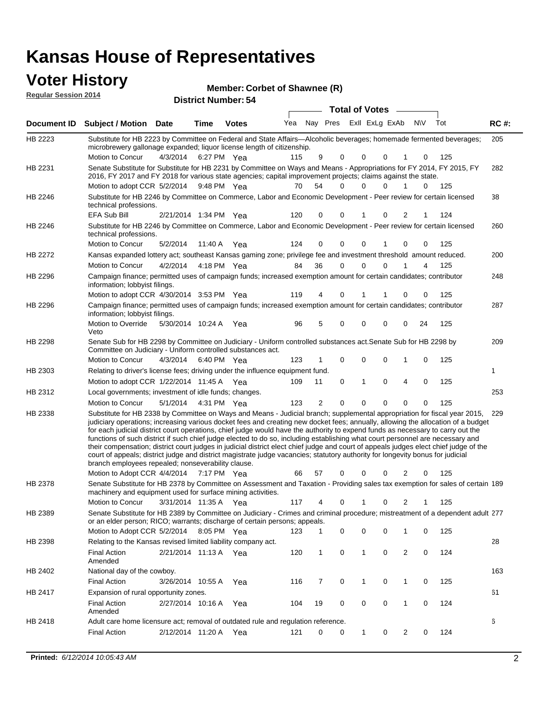# **Voter History**<br> **Regular Session 2014**

|                             | <u>Jivi IIIViti 1</u>                                                                                                                                                                                                                                                                                                                                                                                                                                                                                                                                                                                                                                                                                                                                                                                                                                                                               |                       |             | Member: Corbet of Shawnee (R) |     |    |          |             |                         |                |           |     |             |
|-----------------------------|-----------------------------------------------------------------------------------------------------------------------------------------------------------------------------------------------------------------------------------------------------------------------------------------------------------------------------------------------------------------------------------------------------------------------------------------------------------------------------------------------------------------------------------------------------------------------------------------------------------------------------------------------------------------------------------------------------------------------------------------------------------------------------------------------------------------------------------------------------------------------------------------------------|-----------------------|-------------|-------------------------------|-----|----|----------|-------------|-------------------------|----------------|-----------|-----|-------------|
| <b>Regular Session 2014</b> |                                                                                                                                                                                                                                                                                                                                                                                                                                                                                                                                                                                                                                                                                                                                                                                                                                                                                                     |                       |             | <b>District Number: 54</b>    |     |    |          |             |                         |                |           |     |             |
|                             | <b>Total of Votes</b>                                                                                                                                                                                                                                                                                                                                                                                                                                                                                                                                                                                                                                                                                                                                                                                                                                                                               |                       |             |                               |     |    |          |             |                         |                |           |     |             |
| Document ID                 | <b>Subject / Motion Date</b>                                                                                                                                                                                                                                                                                                                                                                                                                                                                                                                                                                                                                                                                                                                                                                                                                                                                        |                       | Time        | <b>Votes</b>                  | Yea |    |          |             | Nay Pres ExII ExLg ExAb |                | <b>NV</b> | Tot | <b>RC#:</b> |
| HB 2223                     | Substitute for HB 2223 by Committee on Federal and State Affairs—Alcoholic beverages; homemade fermented beverages;<br>microbrewery gallonage expanded; liquor license length of citizenship.                                                                                                                                                                                                                                                                                                                                                                                                                                                                                                                                                                                                                                                                                                       |                       |             |                               |     |    |          |             |                         |                |           |     | 205         |
|                             | Motion to Concur                                                                                                                                                                                                                                                                                                                                                                                                                                                                                                                                                                                                                                                                                                                                                                                                                                                                                    | 4/3/2014              | 6:27 PM Yea |                               | 115 | 9  | 0        | 0           | 0                       |                | 0         | 125 |             |
| HB 2231                     | Senate Substitute for Substitute for HB 2231 by Committee on Ways and Means - Appropriations for FY 2014, FY 2015, FY<br>2016, FY 2017 and FY 2018 for various state agencies; capital improvement projects; claims against the state.                                                                                                                                                                                                                                                                                                                                                                                                                                                                                                                                                                                                                                                              |                       |             |                               |     |    |          |             |                         |                |           |     | 282         |
|                             | Motion to adopt CCR 5/2/2014 9:48 PM Yea                                                                                                                                                                                                                                                                                                                                                                                                                                                                                                                                                                                                                                                                                                                                                                                                                                                            |                       |             |                               | 70  | 54 | $\Omega$ | $\Omega$    | 0                       | 1              | 0         | 125 |             |
| HB 2246                     | Substitute for HB 2246 by Committee on Commerce, Labor and Economic Development - Peer review for certain licensed<br>technical professions.                                                                                                                                                                                                                                                                                                                                                                                                                                                                                                                                                                                                                                                                                                                                                        |                       |             |                               |     |    |          |             |                         |                |           |     | 38          |
|                             | <b>EFA Sub Bill</b>                                                                                                                                                                                                                                                                                                                                                                                                                                                                                                                                                                                                                                                                                                                                                                                                                                                                                 | 2/21/2014 1:34 PM Yea |             |                               | 120 | 0  | 0        | 1           | 0                       | 2              | 1         | 124 |             |
| HB 2246                     | Substitute for HB 2246 by Committee on Commerce, Labor and Economic Development - Peer review for certain licensed<br>technical professions.                                                                                                                                                                                                                                                                                                                                                                                                                                                                                                                                                                                                                                                                                                                                                        |                       |             |                               |     |    |          |             |                         |                |           |     | 260         |
|                             | Motion to Concur                                                                                                                                                                                                                                                                                                                                                                                                                                                                                                                                                                                                                                                                                                                                                                                                                                                                                    | 5/2/2014              | 11:40 A Yea |                               | 124 | 0  | 0        | 0           |                         | $\mathbf 0$    | 0         | 125 |             |
| HB 2272                     | Kansas expanded lottery act; southeast Kansas gaming zone; privilege fee and investment threshold amount reduced.                                                                                                                                                                                                                                                                                                                                                                                                                                                                                                                                                                                                                                                                                                                                                                                   |                       |             |                               |     |    |          |             |                         |                |           |     | 200         |
|                             | Motion to Concur                                                                                                                                                                                                                                                                                                                                                                                                                                                                                                                                                                                                                                                                                                                                                                                                                                                                                    | 4/2/2014              | 4:18 PM Yea |                               | 84  | 36 | $\Omega$ | $\mathbf 0$ | 0                       | 1              | 4         | 125 |             |
| HB 2296                     | Campaign finance; permitted uses of campaign funds; increased exemption amount for certain candidates; contributor<br>information; lobbyist filings.                                                                                                                                                                                                                                                                                                                                                                                                                                                                                                                                                                                                                                                                                                                                                |                       |             |                               |     |    |          |             |                         |                |           |     | 248         |
|                             | Motion to adopt CCR 4/30/2014 3:53 PM Yea                                                                                                                                                                                                                                                                                                                                                                                                                                                                                                                                                                                                                                                                                                                                                                                                                                                           |                       |             |                               | 119 | 4  | 0        |             |                         | 0              | 0         | 125 |             |
| HB 2296                     | Campaign finance; permitted uses of campaign funds; increased exemption amount for certain candidates; contributor<br>information; lobbyist filings.                                                                                                                                                                                                                                                                                                                                                                                                                                                                                                                                                                                                                                                                                                                                                |                       |             |                               |     |    |          |             |                         |                |           |     | 287         |
|                             | Motion to Override<br>Veto                                                                                                                                                                                                                                                                                                                                                                                                                                                                                                                                                                                                                                                                                                                                                                                                                                                                          | 5/30/2014 10:24 A Yea |             |                               | 96  | 5  | 0        | 0           | 0                       | $\mathbf 0$    | 24        | 125 |             |
| HB 2298                     | Senate Sub for HB 2298 by Committee on Judiciary - Uniform controlled substances act. Senate Sub for HB 2298 by<br>Committee on Judiciary - Uniform controlled substances act.                                                                                                                                                                                                                                                                                                                                                                                                                                                                                                                                                                                                                                                                                                                      |                       |             |                               |     |    |          | 0           |                         | 1              |           |     | 209         |
|                             | Motion to Concur                                                                                                                                                                                                                                                                                                                                                                                                                                                                                                                                                                                                                                                                                                                                                                                                                                                                                    | 4/3/2014              | 6:40 PM Yea |                               | 123 |    | 0        |             | 0                       |                | 0         | 125 |             |
| HB 2303                     | Relating to driver's license fees; driving under the influence equipment fund.                                                                                                                                                                                                                                                                                                                                                                                                                                                                                                                                                                                                                                                                                                                                                                                                                      |                       |             |                               |     |    |          |             |                         |                |           |     | 1           |
|                             | Motion to adopt CCR 1/22/2014 11:45 A Yea                                                                                                                                                                                                                                                                                                                                                                                                                                                                                                                                                                                                                                                                                                                                                                                                                                                           |                       |             |                               | 109 | 11 | 0        | 1           | $\mathbf 0$             | $\overline{4}$ | 0         | 125 |             |
| HB 2312                     | Local governments; investment of idle funds; changes.                                                                                                                                                                                                                                                                                                                                                                                                                                                                                                                                                                                                                                                                                                                                                                                                                                               |                       |             |                               |     |    |          |             |                         |                |           |     | 253         |
|                             | Motion to Concur                                                                                                                                                                                                                                                                                                                                                                                                                                                                                                                                                                                                                                                                                                                                                                                                                                                                                    | 5/1/2014              | 4:31 PM Yea |                               | 123 | 2  | $\Omega$ | $\Omega$    | $\Omega$                | $\Omega$       | 0         | 125 |             |
| HB 2338                     | Substitute for HB 2338 by Committee on Ways and Means - Judicial branch; supplemental appropriation for fiscal year 2015,<br>judiciary operations; increasing various docket fees and creating new docket fees; annually, allowing the allocation of a budget<br>for each judicial district court operations, chief judge would have the authority to expend funds as necessary to carry out the<br>functions of such district if such chief judge elected to do so, including establishing what court personnel are necessary and<br>their compensation; district court judges in judicial district elect chief judge and court of appeals judges elect chief judge of the<br>court of appeals; district judge and district magistrate judge vacancies; statutory authority for longevity bonus for judicial<br>branch employees repealed; nonseverability clause.<br>Motion to Adopt CCR 4/4/2014 |                       | 7:17 PM Yea |                               | 66  | 57 | 0        | ი           | 0                       | 2              | 0         | 125 | 229         |
| HB 2378                     | Senate Substitute for HB 2378 by Committee on Assessment and Taxation - Providing sales tax exemption for sales of certain 189                                                                                                                                                                                                                                                                                                                                                                                                                                                                                                                                                                                                                                                                                                                                                                      |                       |             |                               |     |    |          |             |                         |                |           |     |             |
|                             | machinery and equipment used for surface mining activities.                                                                                                                                                                                                                                                                                                                                                                                                                                                                                                                                                                                                                                                                                                                                                                                                                                         |                       |             |                               |     |    |          |             |                         |                |           |     |             |
|                             | Motion to Concur                                                                                                                                                                                                                                                                                                                                                                                                                                                                                                                                                                                                                                                                                                                                                                                                                                                                                    | 3/31/2014 11:35 A     |             | Yea                           | 117 | 4  | 0        | 1           | 0                       | 2              | 1         | 125 |             |
| HB 2389                     | Senate Substitute for HB 2389 by Committee on Judiciary - Crimes and criminal procedure; mistreatment of a dependent adult 277<br>or an elder person; RICO; warrants; discharge of certain persons; appeals.                                                                                                                                                                                                                                                                                                                                                                                                                                                                                                                                                                                                                                                                                        |                       |             |                               |     |    |          |             |                         |                |           |     |             |
|                             | Motion to Adopt CCR 5/2/2014                                                                                                                                                                                                                                                                                                                                                                                                                                                                                                                                                                                                                                                                                                                                                                                                                                                                        |                       | 8:05 PM Yea |                               | 123 | 1  | 0        | 0           | 0                       | 1              | 0         | 125 |             |
| HB 2398                     | Relating to the Kansas revised limited liability company act.<br>Final Action                                                                                                                                                                                                                                                                                                                                                                                                                                                                                                                                                                                                                                                                                                                                                                                                                       | 2/21/2014 11:13 A Yea |             |                               | 120 | 1  | 0        | 1           | 0                       | $\overline{2}$ | 0         | 124 | 28          |
|                             | Amended                                                                                                                                                                                                                                                                                                                                                                                                                                                                                                                                                                                                                                                                                                                                                                                                                                                                                             |                       |             |                               |     |    |          |             |                         |                |           |     |             |
| HB 2402                     | National day of the cowboy.                                                                                                                                                                                                                                                                                                                                                                                                                                                                                                                                                                                                                                                                                                                                                                                                                                                                         |                       |             |                               |     |    |          |             |                         |                |           |     | 163         |
|                             | <b>Final Action</b>                                                                                                                                                                                                                                                                                                                                                                                                                                                                                                                                                                                                                                                                                                                                                                                                                                                                                 | 3/26/2014 10:55 A     |             | Yea                           | 116 | 7  | 0        | 1           | 0                       | $\mathbf{1}$   | 0         | 125 |             |
| HB 2417                     | Expansion of rural opportunity zones.<br><b>Final Action</b><br>Amended                                                                                                                                                                                                                                                                                                                                                                                                                                                                                                                                                                                                                                                                                                                                                                                                                             | 2/27/2014 10:16 A     |             | Yea                           | 104 | 19 | 0        | 0           | 0                       | $\mathbf{1}$   | 0         | 124 | 61          |

2/12/2014 Final Action Yea 124 11:20 A 121 0 0 0 20 1

Adult care home licensure act; removal of outdated rule and regulation reference.

HB 2418

6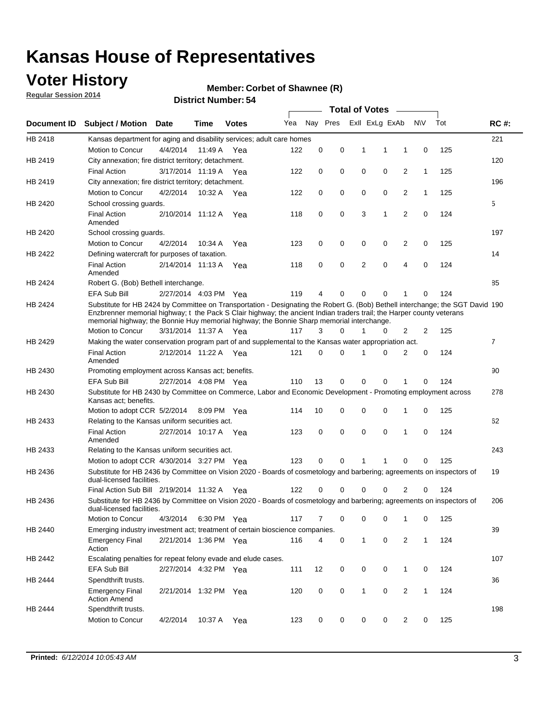### **Voter History**

**Regular Session 2014**

#### **Member: Corbet of Shawnee (R)**

|                    |                                                                                                                                                                                                                                                                                                                                                      |                       |             | DISTRICT MAILINGLESH |     |          |          |   | <b>Total of Votes</b> | $\sim$         |              |     |                |
|--------------------|------------------------------------------------------------------------------------------------------------------------------------------------------------------------------------------------------------------------------------------------------------------------------------------------------------------------------------------------------|-----------------------|-------------|----------------------|-----|----------|----------|---|-----------------------|----------------|--------------|-----|----------------|
| <b>Document ID</b> | <b>Subject / Motion</b>                                                                                                                                                                                                                                                                                                                              | Date                  | Time        | <b>Votes</b>         | Yea |          | Nay Pres |   | Exll ExLg ExAb        |                | <b>NV</b>    | Tot | <b>RC#:</b>    |
| HB 2418            | Kansas department for aging and disability services; adult care homes                                                                                                                                                                                                                                                                                |                       |             |                      |     |          |          |   |                       |                |              |     | 221            |
|                    | Motion to Concur                                                                                                                                                                                                                                                                                                                                     | 4/4/2014              | 11:49 A     | Yea                  | 122 | 0        | 0        | 1 | 1                     | 1              | 0            | 125 |                |
| HB 2419            | City annexation; fire district territory; detachment.                                                                                                                                                                                                                                                                                                |                       |             |                      |     |          |          |   |                       |                |              |     | 120            |
|                    | <b>Final Action</b>                                                                                                                                                                                                                                                                                                                                  | 3/17/2014 11:19 A Yea |             |                      | 122 | 0        | 0        | 0 | 0                     | 2              | $\mathbf{1}$ | 125 |                |
| HB 2419            | City annexation; fire district territory; detachment.                                                                                                                                                                                                                                                                                                |                       |             |                      |     |          |          |   |                       |                |              |     | 196            |
|                    | Motion to Concur                                                                                                                                                                                                                                                                                                                                     | 4/2/2014              | 10:32 A Yea |                      | 122 | 0        | 0        | 0 | 0                     | 2              | $\mathbf{1}$ | 125 |                |
| HB 2420            | School crossing guards.                                                                                                                                                                                                                                                                                                                              |                       |             |                      |     |          |          |   |                       |                |              |     | 5              |
|                    | <b>Final Action</b><br>Amended                                                                                                                                                                                                                                                                                                                       | 2/10/2014 11:12 A     |             | Yea                  | 118 | 0        | 0        | 3 | 1                     | $\overline{2}$ | 0            | 124 |                |
| HB 2420            | School crossing guards.                                                                                                                                                                                                                                                                                                                              |                       |             |                      |     |          |          |   |                       |                |              |     | 197            |
|                    | Motion to Concur                                                                                                                                                                                                                                                                                                                                     | 4/2/2014              | 10:34 A     | Yea                  | 123 | 0        | 0        | 0 | 0                     | 2              | 0            | 125 |                |
| HB 2422            | Defining watercraft for purposes of taxation.                                                                                                                                                                                                                                                                                                        |                       |             |                      |     |          |          |   |                       |                |              |     | 14             |
|                    | <b>Final Action</b><br>Amended                                                                                                                                                                                                                                                                                                                       | 2/14/2014 11:13 A     |             | Yea                  | 118 | 0        | 0        | 2 | $\mathbf 0$           | 4              | 0            | 124 |                |
| HB 2424            | Robert G. (Bob) Bethell interchange.                                                                                                                                                                                                                                                                                                                 |                       |             |                      |     |          |          |   |                       |                |              |     | 85             |
|                    | <b>EFA Sub Bill</b>                                                                                                                                                                                                                                                                                                                                  | 2/27/2014 4:03 PM Yea |             |                      | 119 | 4        | 0        | 0 | 0                     | 1              | 0            | 124 |                |
| HB 2424            | Substitute for HB 2424 by Committee on Transportation - Designating the Robert G. (Bob) Bethell interchange; the SGT David 190<br>Enzbrenner memorial highway; t the Pack S Clair highway; the ancient Indian traders trail; the Harper county veterans<br>memorial highway; the Bonnie Huy memorial highway; the Bonnie Sharp memorial interchange. |                       |             |                      |     |          |          |   |                       |                |              |     |                |
|                    | Motion to Concur                                                                                                                                                                                                                                                                                                                                     | 3/31/2014 11:37 A Yea |             |                      | 117 | 3        | $\Omega$ | 1 | 0                     | 2              | 2            | 125 |                |
| HB 2429            | Making the water conservation program part of and supplemental to the Kansas water appropriation act.                                                                                                                                                                                                                                                |                       |             |                      |     |          |          |   |                       |                |              |     | $\overline{7}$ |
|                    | <b>Final Action</b><br>Amended                                                                                                                                                                                                                                                                                                                       | 2/12/2014 11:22 A Yea |             |                      | 121 | $\Omega$ | 0        | 1 | $\Omega$              | 2              | 0            | 124 |                |
| HB 2430            | Promoting employment across Kansas act; benefits.                                                                                                                                                                                                                                                                                                    |                       |             |                      |     |          |          |   |                       |                |              |     | 90             |
|                    | <b>EFA Sub Bill</b>                                                                                                                                                                                                                                                                                                                                  | 2/27/2014 4:08 PM Yea |             |                      | 110 | 13       | 0        | 0 | 0                     | 1              | 0            | 124 |                |
| HB 2430            | Substitute for HB 2430 by Committee on Commerce, Labor and Economic Development - Promoting employment across                                                                                                                                                                                                                                        |                       |             |                      |     |          |          |   |                       |                |              |     | 278            |
|                    | Kansas act; benefits.<br>Motion to adopt CCR 5/2/2014                                                                                                                                                                                                                                                                                                |                       | 8:09 PM Yea |                      | 114 | 10       | 0        | 0 | 0                     | 1              | 0            | 125 |                |
| HB 2433            | Relating to the Kansas uniform securities act.                                                                                                                                                                                                                                                                                                       |                       |             |                      |     |          |          |   |                       |                |              |     | 62             |
|                    | <b>Final Action</b><br>Amended                                                                                                                                                                                                                                                                                                                       | 2/27/2014 10:17 A Yea |             |                      | 123 | 0        | 0        | 0 | $\mathbf 0$           | 1              | 0            | 124 |                |
| HB 2433            | Relating to the Kansas uniform securities act.                                                                                                                                                                                                                                                                                                       |                       |             |                      |     |          |          |   |                       |                |              |     | 243            |
|                    | Motion to adopt CCR 4/30/2014 3:27 PM Yea                                                                                                                                                                                                                                                                                                            |                       |             |                      | 123 | $\Omega$ | 0        | 1 | 1                     | 0              | 0            | 125 |                |
| HB 2436            | Substitute for HB 2436 by Committee on Vision 2020 - Boards of cosmetology and barbering; agreements on inspectors of<br>dual-licensed facilities.                                                                                                                                                                                                   |                       |             |                      |     |          |          |   |                       |                |              |     | 19             |
|                    | Final Action Sub Bill 2/19/2014 11:32 A                                                                                                                                                                                                                                                                                                              |                       |             | Yea                  | 122 | O        | 0        | 0 | 0                     | 2              | 0            | 124 |                |
| HB 2436            | Substitute for HB 2436 by Committee on Vision 2020 - Boards of cosmetology and barbering; agreements on inspectors of<br>dual-licensed facilities.                                                                                                                                                                                                   |                       |             |                      |     |          |          |   |                       |                |              |     | 206            |
|                    | <b>Motion to Concur</b>                                                                                                                                                                                                                                                                                                                              | 4/3/2014              | 6:30 PM Yea |                      | 117 | 7        | 0        | 0 | 0                     | 1              | 0            | 125 |                |
| HB 2440            | Emerging industry investment act; treatment of certain bioscience companies.                                                                                                                                                                                                                                                                         |                       |             |                      |     |          |          |   |                       |                |              |     | 39             |
|                    | <b>Emergency Final</b><br>Action                                                                                                                                                                                                                                                                                                                     | 2/21/2014 1:36 PM Yea |             |                      | 116 | 4        | 0        | 1 | 0                     | 2              | $\mathbf{1}$ | 124 |                |
| HB 2442            | Escalating penalties for repeat felony evade and elude cases.                                                                                                                                                                                                                                                                                        |                       |             |                      |     |          |          |   |                       |                |              |     | 107            |
|                    | EFA Sub Bill                                                                                                                                                                                                                                                                                                                                         | 2/27/2014 4:32 PM Yea |             |                      | 111 | 12       | 0        | 0 | 0                     | $\mathbf{1}$   | 0            | 124 |                |
| HB 2444            | Spendthrift trusts.                                                                                                                                                                                                                                                                                                                                  |                       |             |                      |     |          |          |   |                       |                |              |     | 36             |
|                    | <b>Emergency Final</b><br><b>Action Amend</b>                                                                                                                                                                                                                                                                                                        | 2/21/2014 1:32 PM Yea |             |                      | 120 | 0        | 0        | 1 | 0                     | $\overline{2}$ | $\mathbf{1}$ | 124 |                |
| HB 2444            | Spendthrift trusts.                                                                                                                                                                                                                                                                                                                                  |                       |             |                      |     |          |          |   |                       |                |              |     | 198            |
|                    | Motion to Concur                                                                                                                                                                                                                                                                                                                                     | 4/2/2014              | 10:37 A Yea |                      | 123 | 0        | 0        | 0 | 0                     | $\overline{2}$ | 0            | 125 |                |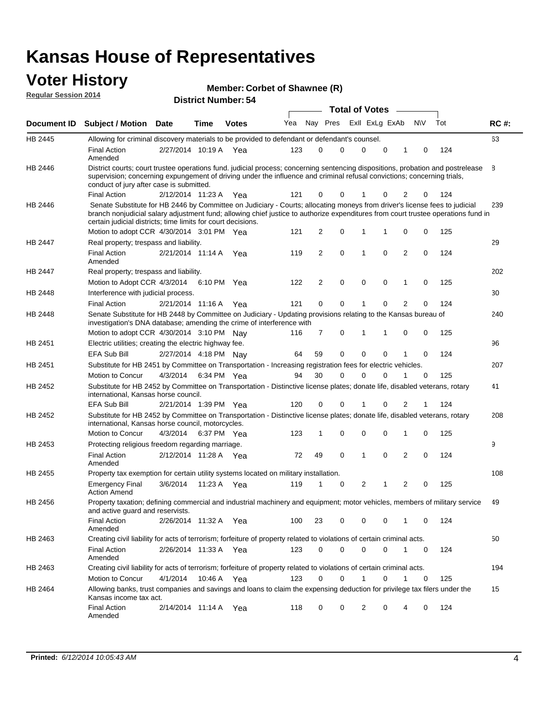#### **Voter History Regular Session 2014**

| Member: Corbet of Shawnee (R) |  |
|-------------------------------|--|
|-------------------------------|--|

| <b>District Number: 54</b> |  |
|----------------------------|--|
|                            |  |

|         |                                                                                                                                                                                                                                                                                                                                 | <b>Total of Votes</b> |      |              |     |    |             |  |                |             |                |             |     |             |
|---------|---------------------------------------------------------------------------------------------------------------------------------------------------------------------------------------------------------------------------------------------------------------------------------------------------------------------------------|-----------------------|------|--------------|-----|----|-------------|--|----------------|-------------|----------------|-------------|-----|-------------|
|         | Document ID Subject / Motion Date                                                                                                                                                                                                                                                                                               |                       | Time | <b>Votes</b> | Yea |    | Nay Pres    |  | Exll ExLg ExAb |             |                | <b>NV</b>   | Tot | <b>RC#:</b> |
| HB 2445 | Allowing for criminal discovery materials to be provided to defendant or defendant's counsel.                                                                                                                                                                                                                                   |                       |      |              |     |    |             |  |                |             |                |             |     | 63          |
|         | <b>Final Action</b><br>Amended                                                                                                                                                                                                                                                                                                  | 2/27/2014 10:19 A Yea |      |              | 123 | 0  | 0           |  | $\mathbf 0$    | $\mathbf 0$ | 1              | 0           | 124 |             |
| HB 2446 | District courts; court trustee operations fund. judicial process; concerning sentencing dispositions, probation and postrelease<br>supervision; concerning expungement of driving under the influence and criminal refusal convictions; concerning trials,<br>conduct of jury after case is submitted.                          |                       |      |              |     |    |             |  |                |             |                |             |     | 8           |
|         | <b>Final Action</b>                                                                                                                                                                                                                                                                                                             | 2/12/2014 11:23 A Yea |      |              | 121 | 0  | 0           |  |                | 0           | 2              | 0           | 124 |             |
| HB 2446 | Senate Substitute for HB 2446 by Committee on Judiciary - Courts; allocating moneys from driver's license fees to judicial<br>branch nonjudicial salary adjustment fund; allowing chief justice to authorize expenditures from court trustee operations fund in<br>certain judicial districts; time limits for court decisions. |                       |      |              |     |    |             |  |                |             |                |             |     | 239         |
|         | Motion to adopt CCR 4/30/2014 3:01 PM Yea                                                                                                                                                                                                                                                                                       |                       |      |              | 121 | 2  | 0           |  | 1              | 1           | 0              | 0           | 125 |             |
| HB 2447 | Real property; trespass and liability.                                                                                                                                                                                                                                                                                          |                       |      |              |     |    |             |  |                |             |                |             |     | 29          |
|         | <b>Final Action</b><br>Amended                                                                                                                                                                                                                                                                                                  | 2/21/2014 11:14 A Yea |      |              | 119 | 2  | $\mathbf 0$ |  | $\mathbf 1$    | $\mathbf 0$ | 2              | 0           | 124 |             |
| HB 2447 | Real property; trespass and liability.                                                                                                                                                                                                                                                                                          |                       |      |              |     |    |             |  |                |             |                |             |     | 202         |
|         | Motion to Adopt CCR 4/3/2014                                                                                                                                                                                                                                                                                                    |                       |      | 6:10 PM Yea  | 122 | 2  | $\mathbf 0$ |  | $\mathbf 0$    | $\mathbf 0$ | 1              | 0           | 125 |             |
| HB 2448 | Interference with judicial process.                                                                                                                                                                                                                                                                                             |                       |      |              |     |    |             |  |                |             |                |             |     | 30          |
|         | <b>Final Action</b>                                                                                                                                                                                                                                                                                                             | 2/21/2014 11:16 A Yea |      |              | 121 | 0  | 0           |  | $\mathbf 1$    | 0           | $\overline{2}$ | 0           | 124 |             |
| HB 2448 | Senate Substitute for HB 2448 by Committee on Judiciary - Updating provisions relating to the Kansas bureau of<br>investigation's DNA database; amending the crime of interference with                                                                                                                                         |                       |      |              |     |    |             |  |                |             |                |             |     | 240         |
|         | Motion to adopt CCR 4/30/2014 3:10 PM Nav                                                                                                                                                                                                                                                                                       |                       |      |              | 116 | 7  | 0           |  | 1              | 1           | 0              | 0           | 125 |             |
| HB 2451 | Electric utilities; creating the electric highway fee.                                                                                                                                                                                                                                                                          |                       |      |              |     |    |             |  |                |             |                |             |     | 96          |
|         | <b>EFA Sub Bill</b>                                                                                                                                                                                                                                                                                                             | 2/27/2014 4:18 PM Nay |      |              | 64  | 59 | 0           |  | $\mathbf 0$    | 0           | 1              | 0           | 124 |             |
| HB 2451 | Substitute for HB 2451 by Committee on Transportation - Increasing registration fees for electric vehicles.                                                                                                                                                                                                                     |                       |      |              |     |    |             |  |                |             |                |             |     | 207         |
|         | Motion to Concur                                                                                                                                                                                                                                                                                                                | 4/3/2014              |      | 6:34 PM Yea  | 94  | 30 | 0           |  | $\Omega$       | 0           |                | 0           | 125 |             |
| HB 2452 | Substitute for HB 2452 by Committee on Transportation - Distinctive license plates; donate life, disabled veterans, rotary<br>international, Kansas horse council.                                                                                                                                                              |                       |      |              |     |    |             |  |                |             |                |             |     | 41          |
|         | <b>EFA Sub Bill</b>                                                                                                                                                                                                                                                                                                             | 2/21/2014 1:39 PM Yea |      |              | 120 | 0  | 0           |  |                | 0           | 2              | 1           | 124 |             |
| HB 2452 | Substitute for HB 2452 by Committee on Transportation - Distinctive license plates; donate life, disabled veterans, rotary<br>international, Kansas horse council, motorcycles.                                                                                                                                                 |                       |      |              |     |    |             |  |                |             |                |             |     | 208         |
|         | Motion to Concur                                                                                                                                                                                                                                                                                                                | 4/3/2014              |      | 6:37 PM Yea  | 123 | 1  | $\mathbf 0$ |  | $\mathbf 0$    | 0           | 1              | 0           | 125 |             |
| HB 2453 | Protecting religious freedom regarding marriage.                                                                                                                                                                                                                                                                                |                       |      |              |     |    |             |  |                |             |                |             |     | 9           |
|         | <b>Final Action</b><br>Amended                                                                                                                                                                                                                                                                                                  | 2/12/2014 11:28 A Yea |      |              | 72  | 49 | $\mathbf 0$ |  | $\overline{1}$ | $\Omega$    | 2              | 0           | 124 |             |
| HB 2455 | Property tax exemption for certain utility systems located on military installation.                                                                                                                                                                                                                                            |                       |      |              |     |    |             |  |                |             |                |             |     | 108         |
|         | <b>Emergency Final</b><br><b>Action Amend</b>                                                                                                                                                                                                                                                                                   | 3/6/2014              |      | 11:23 A Yea  | 119 | 1  | 0           |  | $\overline{2}$ | 1           | 2              | 0           | 125 |             |
| HB 2456 | Property taxation; defining commercial and industrial machinery and equipment; motor vehicles, members of military service<br>and active guard and reservists.                                                                                                                                                                  |                       |      |              |     |    |             |  |                |             |                |             |     | 49          |
|         | <b>Final Action</b><br>Amended                                                                                                                                                                                                                                                                                                  | 2/26/2014 11:32 A Yea |      |              | 100 | 23 | 0           |  | 0              | 0           | 1              | 0           | 124 |             |
| HB 2463 | Creating civil liability for acts of terrorism; forfeiture of property related to violations of certain criminal acts.                                                                                                                                                                                                          |                       |      |              |     |    |             |  |                |             |                |             |     | 50          |
|         | <b>Final Action</b><br>Amended                                                                                                                                                                                                                                                                                                  | 2/26/2014 11:33 A Yea |      |              | 123 | 0  | $\mathbf 0$ |  | $\mathbf 0$    | $\mathbf 0$ | $\mathbf{1}$   | $\mathbf 0$ | 124 |             |
| HB 2463 | Creating civil liability for acts of terrorism; forfeiture of property related to violations of certain criminal acts.                                                                                                                                                                                                          |                       |      |              |     |    |             |  |                |             |                |             |     | 194         |
|         | Motion to Concur                                                                                                                                                                                                                                                                                                                | 4/1/2014              |      | 10:46 A Yea  | 123 | 0  | $\mathbf 0$ |  | 1              | 0           | 1              | 0           | 125 |             |
| HB 2464 | Allowing banks, trust companies and savings and loans to claim the expensing deduction for privilege tax filers under the<br>Kansas income tax act.                                                                                                                                                                             |                       |      |              |     |    |             |  |                |             |                |             |     | 15          |
|         | <b>Final Action</b><br>Amended                                                                                                                                                                                                                                                                                                  | 2/14/2014 11:14 A Yea |      |              | 118 | 0  | 0           |  | 2              | 0           | 4              | 0           | 124 |             |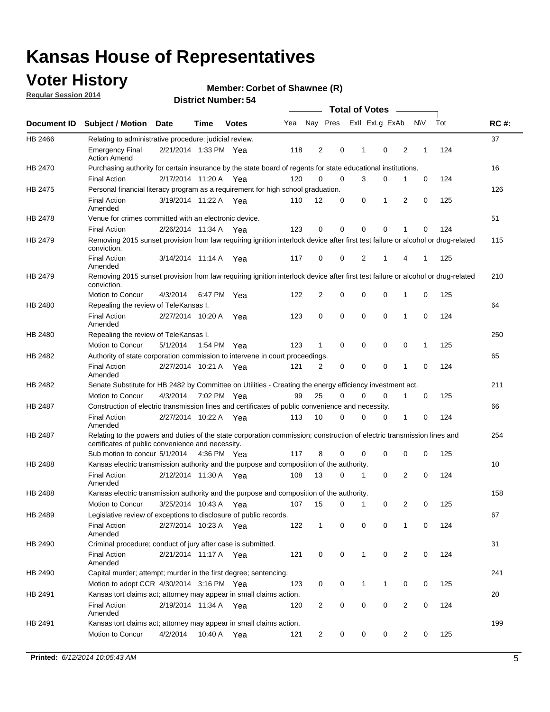### **Voter History**

**Regular Session 2014**

#### **Member: Corbet of Shawnee (R)**

|                |                                                                                                                                                                             |                       |         |              |     |                |          | <b>Total of Votes</b> |                |                |             |     |             |
|----------------|-----------------------------------------------------------------------------------------------------------------------------------------------------------------------------|-----------------------|---------|--------------|-----|----------------|----------|-----------------------|----------------|----------------|-------------|-----|-------------|
|                | Document ID Subject / Motion                                                                                                                                                | <b>Date</b>           | Time    | <b>Votes</b> | Yea | Nay Pres       |          |                       | Exll ExLg ExAb |                | <b>NV</b>   | Tot | <b>RC#:</b> |
| HB 2466        | Relating to administrative procedure; judicial review.                                                                                                                      |                       |         |              |     |                |          |                       |                |                |             |     | 37          |
|                | <b>Emergency Final</b><br><b>Action Amend</b>                                                                                                                               | 2/21/2014 1:33 PM Yea |         |              | 118 | $\overline{2}$ | 0        | 1                     | $\mathbf 0$    | 2              | 1           | 124 |             |
| <b>HB 2470</b> | Purchasing authority for certain insurance by the state board of regents for state educational institutions.                                                                |                       |         |              |     |                |          |                       |                |                |             |     | 16          |
|                | <b>Final Action</b>                                                                                                                                                         | 2/17/2014 11:20 A Yea |         |              | 120 | 0              | 0        | 3                     | 0              | 1              | $\mathbf 0$ | 124 |             |
| HB 2475        | Personal financial literacy program as a requirement for high school graduation.                                                                                            |                       |         |              |     |                |          |                       |                |                |             |     | 126         |
|                | <b>Final Action</b><br>Amended                                                                                                                                              | 3/19/2014 11:22 A Yea |         |              | 110 | 12             | 0        | 0                     | 1              | 2              | 0           | 125 |             |
| HB 2478        | Venue for crimes committed with an electronic device.                                                                                                                       |                       |         |              |     |                |          |                       |                |                |             |     | 51          |
|                | <b>Final Action</b>                                                                                                                                                         | 2/26/2014 11:34 A     |         | Yea          | 123 | 0              | 0        | $\Omega$              | $\mathbf 0$    | 1              | 0           | 124 |             |
| HB 2479        | Removing 2015 sunset provision from law requiring ignition interlock device after first test failure or alcohol or drug-related<br>conviction.                              |                       |         |              |     |                |          |                       |                |                |             |     | 115         |
|                | <b>Final Action</b><br>Amended                                                                                                                                              | 3/14/2014 11:14 A     |         | Yea          | 117 | 0              | 0        | $\overline{2}$        | 1              | 4              | 1           | 125 |             |
| HB 2479        | Removing 2015 sunset provision from law requiring ignition interlock device after first test failure or alcohol or drug-related<br>conviction.                              |                       |         |              |     |                |          |                       |                |                |             |     | 210         |
|                | Motion to Concur                                                                                                                                                            | 4/3/2014              |         | 6:47 PM Yea  | 122 | $\overline{2}$ | 0        | $\mathbf 0$           | 0              | 1              | 0           | 125 |             |
| HB 2480        | Repealing the review of TeleKansas I.                                                                                                                                       |                       |         |              |     |                |          |                       |                |                |             |     | 64          |
|                | <b>Final Action</b><br>Amended                                                                                                                                              | 2/27/2014 10:20 A     |         | Yea          | 123 | 0              | 0        | $\mathbf 0$           | $\mathbf 0$    | 1              | 0           | 124 |             |
| HB 2480        | Repealing the review of TeleKansas I.                                                                                                                                       |                       |         |              |     |                |          |                       |                |                |             |     | 250         |
|                | <b>Motion to Concur</b>                                                                                                                                                     | 5/1/2014              |         | 1:54 PM Yea  | 123 | 1              | 0        | 0                     | 0              | 0              | 1           | 125 |             |
| HB 2482        | Authority of state corporation commission to intervene in court proceedings.                                                                                                |                       |         |              |     |                |          |                       |                |                |             |     | 65          |
|                | <b>Final Action</b><br>Amended                                                                                                                                              | 2/27/2014 10:21 A     |         | Yea          | 121 | 2              | 0        | 0                     | 0              | 1              | 0           | 124 |             |
| HB 2482        | Senate Substitute for HB 2482 by Committee on Utilities - Creating the energy efficiency investment act.                                                                    |                       |         |              |     |                |          |                       |                |                |             |     | 211         |
|                | Motion to Concur                                                                                                                                                            | 4/3/2014 7:02 PM Yea  |         |              | 99  | 25             | $\Omega$ | $\Omega$              | $\mathbf 0$    | 1              | 0           | 125 |             |
| HB 2487        | Construction of electric transmission lines and certificates of public convenience and necessity.                                                                           |                       |         |              |     |                |          |                       |                |                |             |     | 66          |
|                | <b>Final Action</b><br>Amended                                                                                                                                              | 2/27/2014 10:22 A     |         | Yea          | 113 | 10             | 0        | 0                     | 0              | 1              | 0           | 124 |             |
| HB 2487        | Relating to the powers and duties of the state corporation commission; construction of electric transmission lines and<br>certificates of public convenience and necessity. |                       |         |              |     |                |          |                       |                |                |             |     | 254         |
|                | Sub motion to concur 5/1/2014                                                                                                                                               |                       |         | 4:36 PM Yea  | 117 | 8              | 0        | 0                     | 0              | 0              | 0           | 125 |             |
| HB 2488        | Kansas electric transmission authority and the purpose and composition of the authority.                                                                                    |                       |         |              |     |                |          |                       |                |                |             |     | 10          |
|                | <b>Final Action</b><br>Amended                                                                                                                                              | 2/12/2014 11:30 A     |         | Yea          | 108 | 13             | 0        | 1                     | 0              | 2              | 0           | 124 |             |
| <b>HB 2488</b> | Kansas electric transmission authority and the purpose and composition of the authority.                                                                                    |                       |         |              |     |                |          |                       |                |                |             |     | 158         |
|                | Motion to Concur                                                                                                                                                            | 3/25/2014 10:43 A     |         | Yea          | 107 | 15             | 0        | $\mathbf 1$           | 0              | 2              | 0           | 125 |             |
| HB 2489        | Legislative review of exceptions to disclosure of public records.                                                                                                           |                       |         |              |     |                |          |                       |                |                |             |     | 67          |
|                | <b>Final Action</b><br>Amended                                                                                                                                              | 2/27/2014 10:23 A Yea |         |              | 122 | $\mathbf{1}$   | 0        | 0                     | 0              | 1              | 0           | 124 |             |
| HB 2490        | Criminal procedure; conduct of jury after case is submitted.                                                                                                                |                       |         |              |     |                |          |                       |                |                |             |     | 31          |
|                | <b>Final Action</b><br>Amended                                                                                                                                              | 2/21/2014 11:17 A Yea |         |              | 121 | 0              | 0        | $\mathbf{1}$          | 0              | 2              | $\mathbf 0$ | 124 |             |
| HB 2490        | Capital murder; attempt; murder in the first degree; sentencing.                                                                                                            |                       |         |              |     |                |          |                       |                |                |             |     | 241         |
|                | Motion to adopt CCR 4/30/2014 3:16 PM Yea                                                                                                                                   |                       |         |              | 123 | 0              | 0        | 1                     | 1              | 0              | 0           | 125 |             |
| HB 2491        | Kansas tort claims act; attorney may appear in small claims action.                                                                                                         |                       |         |              |     |                |          |                       |                |                |             |     | 20          |
|                | <b>Final Action</b><br>Amended                                                                                                                                              | 2/19/2014 11:34 A Yea |         |              | 120 | 2              | 0        | 0                     | 0              | $\overline{2}$ | 0           | 124 |             |
| HB 2491        | Kansas tort claims act; attorney may appear in small claims action.                                                                                                         |                       |         |              |     |                |          |                       |                |                |             |     | 199         |
|                | Motion to Concur                                                                                                                                                            | 4/2/2014              | 10:40 A | Yea          | 121 | 2              | 0        | 0                     | 0              | $\overline{2}$ | 0           | 125 |             |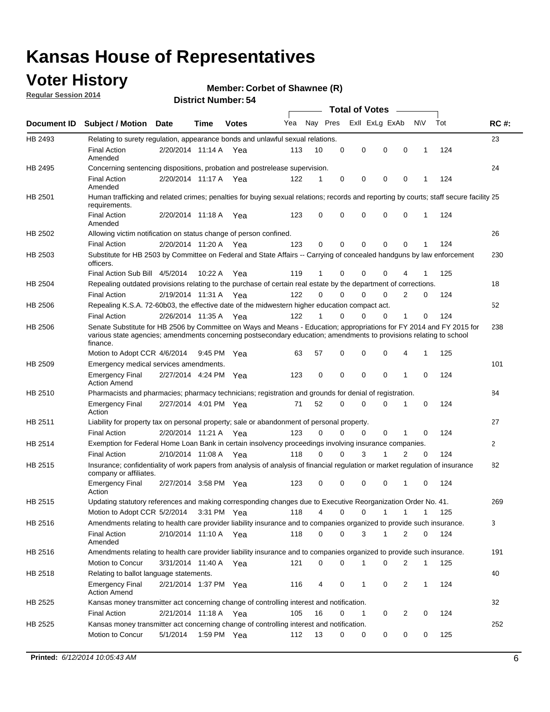### **Voter History**

**Regular Session 2014**

#### **Member: Corbet of Shawnee (R)**

|                |                                                                                                                                                                                                                                                        |                       |             | DISTRICT MAILINGLESH |     |          |          | Total of Votes –     |                |              |     |              |
|----------------|--------------------------------------------------------------------------------------------------------------------------------------------------------------------------------------------------------------------------------------------------------|-----------------------|-------------|----------------------|-----|----------|----------|----------------------|----------------|--------------|-----|--------------|
| Document ID    | <b>Subject / Motion Date</b>                                                                                                                                                                                                                           |                       | Time        | <b>Votes</b>         | Yea |          | Nay Pres | Exll ExLg ExAb       |                | N\V          | Tot | <b>RC#:</b>  |
| HB 2493        | Relating to surety regulation, appearance bonds and unlawful sexual relations.                                                                                                                                                                         |                       |             |                      |     |          |          |                      |                |              |     | 23           |
|                | <b>Final Action</b><br>Amended                                                                                                                                                                                                                         | 2/20/2014 11:14 A Yea |             |                      | 113 | 10       | 0        | 0<br>$\mathbf 0$     | $\mathbf 0$    | $\mathbf 1$  | 124 |              |
| HB 2495        | Concerning sentencing dispositions, probation and postrelease supervision.                                                                                                                                                                             |                       |             |                      |     |          |          |                      |                |              |     | 24           |
|                | <b>Final Action</b><br>Amended                                                                                                                                                                                                                         | 2/20/2014 11:17 A     |             | Yea                  | 122 | 1        | 0        | 0<br>0               | $\mathbf 0$    | -1           | 124 |              |
| HB 2501        | Human trafficking and related crimes; penalties for buying sexual relations; records and reporting by courts; staff secure facility 25<br>requirements.                                                                                                |                       |             |                      |     |          |          |                      |                |              |     |              |
|                | <b>Final Action</b><br>Amended                                                                                                                                                                                                                         | 2/20/2014 11:18 A Yea |             |                      | 123 | 0        | $\Omega$ | 0<br>0               | $\mathbf 0$    | 1            | 124 |              |
| HB 2502        | Allowing victim notification on status change of person confined.                                                                                                                                                                                      |                       |             |                      |     |          |          |                      |                |              |     | 26           |
|                | <b>Final Action</b>                                                                                                                                                                                                                                    | 2/20/2014 11:20 A Yea |             |                      | 123 | 0        | 0        | 0<br>0               | $\mathbf 0$    |              | 124 |              |
| HB 2503        | Substitute for HB 2503 by Committee on Federal and State Affairs -- Carrying of concealed handguns by law enforcement<br>officers.                                                                                                                     |                       |             |                      |     |          |          |                      |                |              |     | 230          |
|                | Final Action Sub Bill 4/5/2014                                                                                                                                                                                                                         |                       | 10:22A      | Yea                  | 119 | 1        | 0        | 0<br>0               |                |              | 125 |              |
| <b>HB 2504</b> | Repealing outdated provisions relating to the purchase of certain real estate by the department of corrections.                                                                                                                                        |                       |             |                      |     |          |          |                      |                |              |     | 18           |
|                | <b>Final Action</b>                                                                                                                                                                                                                                    | 2/19/2014 11:31 A     |             | Yea                  | 122 | $\Omega$ | $\Omega$ | 0<br>0               | $\overline{2}$ | 0            | 124 |              |
| HB 2506        | Repealing K.S.A. 72-60b03, the effective date of the midwestern higher education compact act.                                                                                                                                                          |                       |             |                      |     |          |          |                      |                |              |     | 52           |
|                | <b>Final Action</b>                                                                                                                                                                                                                                    | 2/26/2014 11:35 A Yea |             |                      | 122 | 1        | 0        | 0<br>0               | 1              | 0            | 124 |              |
| HB 2506        | Senate Substitute for HB 2506 by Committee on Ways and Means - Education; appropriations for FY 2014 and FY 2015 for<br>various state agencies; amendments concerning postsecondary education; amendments to provisions relating to school<br>finance. |                       |             |                      |     |          |          |                      |                |              |     | 238          |
|                | Motion to Adopt CCR 4/6/2014                                                                                                                                                                                                                           |                       | 9:45 PM Yea |                      | 63  | 57       | 0        | 0<br>0               | 4              | $\mathbf{1}$ | 125 |              |
| HB 2509        | Emergency medical services amendments.                                                                                                                                                                                                                 |                       |             |                      |     |          |          |                      |                |              |     | 101          |
|                | <b>Emergency Final</b><br><b>Action Amend</b>                                                                                                                                                                                                          | 2/27/2014 4:24 PM Yea |             |                      | 123 | 0        | $\Omega$ | $\Omega$<br>$\Omega$ | $\mathbf{1}$   | $\Omega$     | 124 |              |
| HB 2510        | Pharmacists and pharmacies; pharmacy technicians; registration and grounds for denial of registration.                                                                                                                                                 |                       |             |                      |     |          |          |                      |                |              |     | 84           |
|                | <b>Emergency Final</b><br>Action                                                                                                                                                                                                                       | 2/27/2014 4:01 PM Yea |             |                      | 71  | 52       | $\Omega$ | 0<br>0               | 1              | 0            | 124 |              |
| HB 2511        | Liability for property tax on personal property; sale or abandonment of personal property.                                                                                                                                                             |                       |             |                      |     |          |          |                      |                |              |     | 27           |
|                | <b>Final Action</b>                                                                                                                                                                                                                                    | 2/20/2014 11:21 A Yea |             |                      | 123 | $\Omega$ | 0        | 0<br>0               | 1              | 0            | 124 |              |
| HB 2514        | Exemption for Federal Home Loan Bank in certain insolvency proceedings involving insurance companies.                                                                                                                                                  |                       |             |                      |     |          |          |                      |                |              |     | $\mathbf{2}$ |
|                | <b>Final Action</b>                                                                                                                                                                                                                                    | 2/10/2014 11:08 A     |             | Yea                  | 118 | $\Omega$ | $\Omega$ | 3<br>1               | 2              | 0            | 124 |              |
| HB 2515        | Insurance; confidentiality of work papers from analysis of analysis of financial regulation or market regulation of insurance<br>company or affiliates.                                                                                                |                       |             |                      |     |          |          |                      |                |              |     | 82           |
|                | <b>Emergency Final</b><br>Action                                                                                                                                                                                                                       | 2/27/2014 3:58 PM Yea |             |                      | 123 | 0        | 0        | 0<br>0               | -1             | $\Omega$     | 124 |              |
| HB 2515        | Updating statutory references and making corresponding changes due to Executive Reorganization Order No. 41.                                                                                                                                           |                       |             |                      |     |          |          |                      |                |              |     | 269          |
|                | Motion to Adopt CCR 5/2/2014 3:31 PM Yea                                                                                                                                                                                                               |                       |             |                      | 118 | 4        | 0        | 0<br>1               | 1              | 1            | 125 |              |
| HB 2516        | Amendments relating to health care provider liability insurance and to companies organized to provide such insurance.                                                                                                                                  |                       |             |                      |     |          |          |                      |                |              |     | 3            |
|                | <b>Final Action</b><br>Amended                                                                                                                                                                                                                         | 2/10/2014 11:10 A Yea |             |                      | 118 | 0        | 0        | 3<br>1               | 2              | 0            | 124 |              |
| HB 2516        | Amendments relating to health care provider liability insurance and to companies organized to provide such insurance.                                                                                                                                  |                       |             |                      |     |          |          |                      |                |              |     | 191          |
|                | Motion to Concur                                                                                                                                                                                                                                       | 3/31/2014 11:40 A Yea |             |                      | 121 | 0        | 0        | 1<br>0               | 2              | $\mathbf{1}$ | 125 |              |
| HB 2518        | Relating to ballot language statements.                                                                                                                                                                                                                |                       |             |                      |     |          |          |                      |                |              |     | 40           |
|                | <b>Emergency Final</b><br><b>Action Amend</b>                                                                                                                                                                                                          | 2/21/2014 1:37 PM Yea |             |                      | 116 | 4        | 0        | 1<br>0               | 2              | 1            | 124 |              |
| HB 2525        | Kansas money transmitter act concerning change of controlling interest and notification.                                                                                                                                                               |                       |             |                      |     |          |          |                      |                |              |     | 32           |
|                | <b>Final Action</b>                                                                                                                                                                                                                                    | 2/21/2014 11:18 A Yea |             |                      | 105 | 16       | 0        | 1<br>0               | 2              | 0            | 124 |              |
| HB 2525        | Kansas money transmitter act concerning change of controlling interest and notification.                                                                                                                                                               |                       |             |                      |     |          |          |                      |                |              |     | 252          |
|                | Motion to Concur                                                                                                                                                                                                                                       | 5/1/2014              | 1:59 PM Yea |                      | 112 | 13       | 0        | 0<br>0               | 0              | 0            | 125 |              |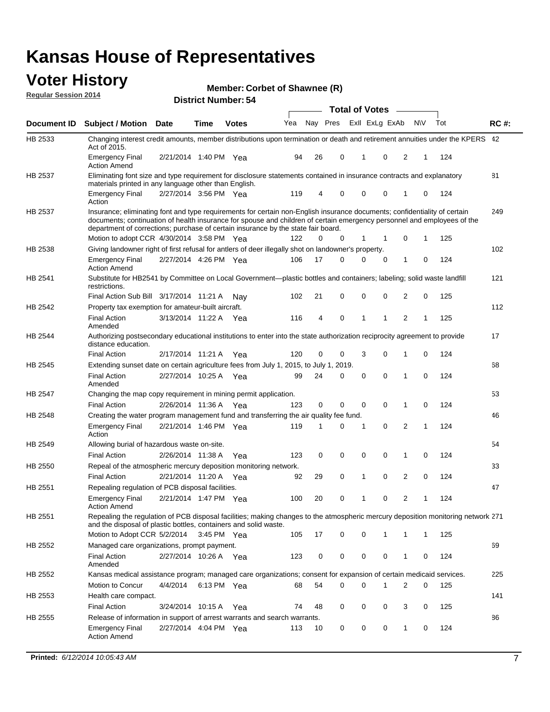#### **Voter History Regular Session 2014**

| Member: Corbet of Shawnee (R) |  |  |
|-------------------------------|--|--|
|-------------------------------|--|--|

|                |                                                                                                                                                                                                                                                                                                                                           |                       |             | די. וסעוווטנו ועוווסו |     |    |                         | <b>Total of Votes</b> |              |              |          |     |             |
|----------------|-------------------------------------------------------------------------------------------------------------------------------------------------------------------------------------------------------------------------------------------------------------------------------------------------------------------------------------------|-----------------------|-------------|-----------------------|-----|----|-------------------------|-----------------------|--------------|--------------|----------|-----|-------------|
| Document ID    | <b>Subject / Motion Date</b>                                                                                                                                                                                                                                                                                                              |                       | Time        | <b>Votes</b>          | Yea |    | Nay Pres Exll ExLg ExAb |                       |              | <b>NV</b>    |          | Tot | <b>RC#:</b> |
| HB 2533        | Changing interest credit amounts, member distributions upon termination or death and retirement annuities under the KPERS 42<br>Act of 2015.                                                                                                                                                                                              |                       |             |                       |     |    |                         |                       |              |              |          |     |             |
|                | <b>Emergency Final</b><br><b>Action Amend</b>                                                                                                                                                                                                                                                                                             | 2/21/2014 1:40 PM Yea |             |                       | 94  | 26 | 0                       | 1                     | 0            | 2            | 1        | 124 |             |
| HB 2537        | Eliminating font size and type requirement for disclosure statements contained in insurance contracts and explanatory<br>materials printed in any language other than English.                                                                                                                                                            |                       |             |                       |     |    |                         |                       |              |              |          |     | 81          |
|                | <b>Emergency Final</b><br>Action                                                                                                                                                                                                                                                                                                          | 2/27/2014 3:56 PM Yea |             |                       | 119 | 4  | 0                       | 0                     | 0            | 1            | 0        | 124 |             |
| HB 2537        | Insurance; eliminating font and type requirements for certain non-English insurance documents; confidentiality of certain<br>documents; continuation of health insurance for spouse and children of certain emergency personnel and employees of the<br>department of corrections; purchase of certain insurance by the state fair board. |                       |             |                       |     |    |                         |                       |              |              |          |     | 249         |
|                | Motion to adopt CCR 4/30/2014 3:58 PM Yea                                                                                                                                                                                                                                                                                                 |                       |             |                       | 122 | 0  | 0                       | 1                     | -1           | 0            | 1        | 125 |             |
| HB 2538        | Giving landowner right of first refusal for antlers of deer illegally shot on landowner's property.                                                                                                                                                                                                                                       |                       |             |                       |     |    |                         |                       |              |              |          |     | 102         |
|                | <b>Emergency Final</b><br><b>Action Amend</b>                                                                                                                                                                                                                                                                                             | 2/27/2014 4:26 PM Yea |             |                       | 106 | 17 | 0                       | 0                     | 0            | 1            | 0        | 124 |             |
| HB 2541        | Substitute for HB2541 by Committee on Local Government—plastic bottles and containers; labeling; solid waste landfill<br>restrictions.                                                                                                                                                                                                    |                       |             |                       |     |    |                         |                       |              |              |          |     | 121         |
|                | Final Action Sub Bill 3/17/2014 11:21 A                                                                                                                                                                                                                                                                                                   |                       |             | Nav                   | 102 | 21 | 0                       | $\mathbf 0$           | 0            | 2            | 0        | 125 |             |
| HB 2542        | Property tax exemption for amateur-built aircraft.<br><b>Final Action</b>                                                                                                                                                                                                                                                                 | 3/13/2014 11:22 A Yea |             |                       | 116 | 4  | 0                       | 1                     | $\mathbf{1}$ | 2            | 1        | 125 | 112         |
| HB 2544        | Amended<br>Authorizing postsecondary educational institutions to enter into the state authorization reciprocity agreement to provide<br>distance education.                                                                                                                                                                               |                       |             |                       |     |    |                         |                       |              |              |          |     | 17          |
|                | <b>Final Action</b>                                                                                                                                                                                                                                                                                                                       | 2/17/2014 11:21 A Yea |             |                       | 120 | 0  | 0                       | 3                     | 0            | 1            | 0        | 124 |             |
| HB 2545        | Extending sunset date on certain agriculture fees from July 1, 2015, to July 1, 2019.                                                                                                                                                                                                                                                     |                       |             |                       |     |    |                         |                       |              |              |          |     | 68          |
|                | <b>Final Action</b><br>Amended                                                                                                                                                                                                                                                                                                            | 2/27/2014 10:25 A Yea |             |                       | 99  | 24 | 0                       | $\mathbf 0$           | $\Omega$     | 1            | $\Omega$ | 124 |             |
| <b>HB 2547</b> | Changing the map copy requirement in mining permit application.                                                                                                                                                                                                                                                                           |                       |             |                       |     |    |                         |                       |              |              |          |     | 53          |
|                | <b>Final Action</b>                                                                                                                                                                                                                                                                                                                       | 2/26/2014 11:36 A     |             | Yea                   | 123 | 0  | 0                       | 0                     | 0            | 1            | 0        | 124 |             |
| HB 2548        | Creating the water program management fund and transferring the air quality fee fund.                                                                                                                                                                                                                                                     |                       |             |                       |     |    |                         |                       |              |              |          |     | 46          |
|                | <b>Emergency Final</b><br>Action                                                                                                                                                                                                                                                                                                          | 2/21/2014 1:46 PM Yea |             |                       | 119 | 1  | 0                       | 1                     | 0            | 2            | 1        | 124 |             |
| HB 2549        | Allowing burial of hazardous waste on-site.                                                                                                                                                                                                                                                                                               |                       |             |                       |     |    |                         |                       |              |              |          |     | 54          |
|                | <b>Final Action</b>                                                                                                                                                                                                                                                                                                                       | 2/26/2014 11:38 A     |             | Yea                   | 123 | 0  | 0                       | 0                     | 0            | 1            | 0        | 124 |             |
| HB 2550        | Repeal of the atmospheric mercury deposition monitoring network.                                                                                                                                                                                                                                                                          |                       |             |                       |     |    |                         |                       |              |              |          |     | 33          |
|                | <b>Final Action</b>                                                                                                                                                                                                                                                                                                                       | 2/21/2014 11:20 A     |             | Yea                   | 92  | 29 | 0                       | 1                     | 0            | 2            | 0        | 124 |             |
| HB 2551        | Repealing regulation of PCB disposal facilities.                                                                                                                                                                                                                                                                                          |                       |             |                       |     |    |                         |                       |              |              |          |     | 47          |
|                | <b>Emergency Final</b><br>Action Amend                                                                                                                                                                                                                                                                                                    | 2/21/2014 1:47 PM Yea |             |                       | 100 | 20 | 0                       | 1                     | 0            | 2            | 1        | 124 |             |
| HB 2551        | Repealing the regulation of PCB disposal facilities; making changes to the atmospheric mercury deposition monitoring network 271<br>and the disposal of plastic bottles, containers and solid waste.                                                                                                                                      |                       |             |                       |     |    |                         |                       |              |              |          |     |             |
|                | Motion to Adopt CCR 5/2/2014                                                                                                                                                                                                                                                                                                              |                       | 3:45 PM Yea |                       | 105 | 17 | 0                       | $\mathbf 0$           | 1            | 1            | 1        | 125 |             |
| HB 2552        | Managed care organizations, prompt payment.                                                                                                                                                                                                                                                                                               |                       |             |                       |     |    |                         |                       |              |              |          |     | 69          |
|                | <b>Final Action</b><br>Amended                                                                                                                                                                                                                                                                                                            | 2/27/2014 10:26 A Yea |             |                       | 123 | 0  | 0                       | 0                     | 0            | 1            | 0        | 124 |             |
| HB 2552        | Kansas medical assistance program; managed care organizations; consent for expansion of certain medicaid services.                                                                                                                                                                                                                        |                       |             |                       |     |    |                         |                       |              |              |          |     | 225         |
|                | Motion to Concur                                                                                                                                                                                                                                                                                                                          | 4/4/2014              | 6:13 PM Yea |                       | 68  | 54 | 0                       | $\mathbf 0$           | 1            | 2            | 0        | 125 |             |
| HB 2553        | Health care compact.                                                                                                                                                                                                                                                                                                                      |                       |             |                       |     |    |                         |                       |              |              |          |     | 141         |
|                | <b>Final Action</b>                                                                                                                                                                                                                                                                                                                       | 3/24/2014 10:15 A Yea |             |                       | 74  | 48 | 0                       | 0                     | 0            | 3            | 0        | 125 |             |
| HB 2555        | Release of information in support of arrest warrants and search warrants.                                                                                                                                                                                                                                                                 |                       |             |                       |     |    |                         |                       |              |              |          |     | 86          |
|                | <b>Emergency Final</b><br><b>Action Amend</b>                                                                                                                                                                                                                                                                                             | 2/27/2014 4:04 PM Yea |             |                       | 113 | 10 | 0                       | 0                     | 0            | $\mathbf{1}$ | 0        | 124 |             |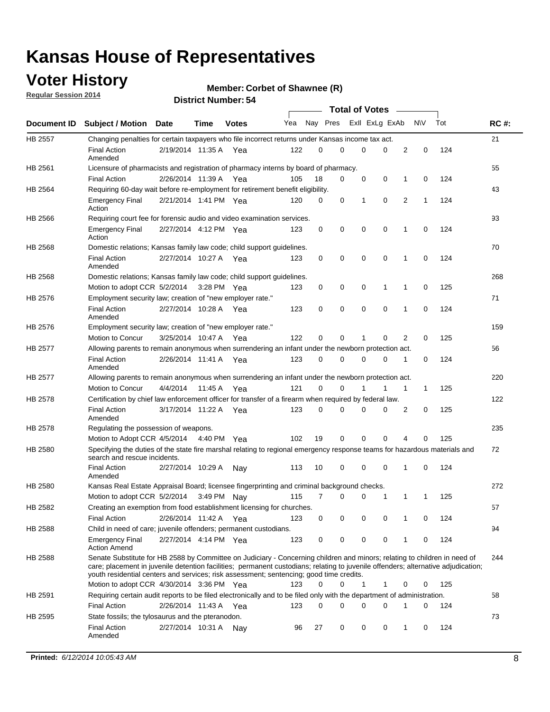### **Voter History**

**Regular Session 2014**

#### **Member: Corbet of Shawnee (R)**

|                |                                                                                                                                                                                                                                                                                                                                                           | <b>Total of Votes</b> |             |              |     |          |   |                |             |             |             |     |             |
|----------------|-----------------------------------------------------------------------------------------------------------------------------------------------------------------------------------------------------------------------------------------------------------------------------------------------------------------------------------------------------------|-----------------------|-------------|--------------|-----|----------|---|----------------|-------------|-------------|-------------|-----|-------------|
|                | Document ID Subject / Motion Date                                                                                                                                                                                                                                                                                                                         |                       | Time        | <b>Votes</b> | Yea | Nay Pres |   | Exll ExLg ExAb |             |             | <b>NV</b>   | Tot | <b>RC#:</b> |
| <b>HB 2557</b> | Changing penalties for certain taxpayers who file incorrect returns under Kansas income tax act.                                                                                                                                                                                                                                                          |                       |             |              |     |          |   |                |             |             |             |     | 21          |
|                | <b>Final Action</b><br>Amended                                                                                                                                                                                                                                                                                                                            | 2/19/2014 11:35 A     |             | Yea          | 122 | 0        | 0 | 0              | 0           | 2           | $\mathbf 0$ | 124 |             |
| HB 2561        | Licensure of pharmacists and registration of pharmacy interns by board of pharmacy.                                                                                                                                                                                                                                                                       |                       |             |              |     |          |   |                |             |             |             |     | 55          |
|                | <b>Final Action</b>                                                                                                                                                                                                                                                                                                                                       | 2/26/2014 11:39 A Yea |             |              | 105 | 18       | 0 | 0              | 0           | 1           | 0           | 124 |             |
| HB 2564        | Requiring 60-day wait before re-employment for retirement benefit eligibility.                                                                                                                                                                                                                                                                            |                       |             |              |     |          |   |                |             |             |             |     | 43          |
|                | <b>Emergency Final</b><br>Action                                                                                                                                                                                                                                                                                                                          | 2/21/2014 1:41 PM Yea |             |              | 120 | 0        | 0 | 1              | 0           | 2           | 1           | 124 |             |
| HB 2566        | Requiring court fee for forensic audio and video examination services.                                                                                                                                                                                                                                                                                    |                       |             |              |     |          |   |                |             |             |             |     | 93          |
|                | <b>Emergency Final</b><br>Action                                                                                                                                                                                                                                                                                                                          | 2/27/2014 4:12 PM Yea |             |              | 123 | 0        | 0 | 0              | $\mathbf 0$ | $\mathbf 1$ | 0           | 124 |             |
| HB 2568        | Domestic relations; Kansas family law code; child support guidelines.                                                                                                                                                                                                                                                                                     |                       |             |              |     |          |   |                |             |             |             |     | 70          |
|                | <b>Final Action</b><br>Amended                                                                                                                                                                                                                                                                                                                            | 2/27/2014 10:27 A     |             | Yea          | 123 | 0        | 0 | 0              | $\mathbf 0$ | 1           | 0           | 124 |             |
| HB 2568        | Domestic relations; Kansas family law code; child support guidelines.                                                                                                                                                                                                                                                                                     |                       |             |              |     |          |   |                |             |             |             |     | 268         |
|                | Motion to adopt CCR 5/2/2014                                                                                                                                                                                                                                                                                                                              |                       | 3:28 PM Yea |              | 123 | 0        | 0 | 0              | 1           | 1           | $\mathbf 0$ | 125 |             |
| HB 2576        | Employment security law; creation of "new employer rate."                                                                                                                                                                                                                                                                                                 |                       |             |              |     |          |   |                |             |             |             |     | 71          |
|                | <b>Final Action</b><br>Amended                                                                                                                                                                                                                                                                                                                            | 2/27/2014 10:28 A Yea |             |              | 123 | 0        | 0 | 0              | 0           | 1           | 0           | 124 |             |
| HB 2576        | Employment security law; creation of "new employer rate."                                                                                                                                                                                                                                                                                                 |                       |             |              |     |          |   |                |             |             |             |     | 159         |
|                | Motion to Concur                                                                                                                                                                                                                                                                                                                                          | 3/25/2014 10:47 A     |             | Yea          | 122 | 0        | 0 | 1              | 0           | 2           | 0           | 125 |             |
| HB 2577        | Allowing parents to remain anonymous when surrendering an infant under the newborn protection act.                                                                                                                                                                                                                                                        |                       |             |              |     |          |   |                |             |             |             |     | 56          |
|                | <b>Final Action</b><br>Amended                                                                                                                                                                                                                                                                                                                            | 2/26/2014 11:41 A Yea |             |              | 123 | $\Omega$ | 0 | 0              | $\Omega$    | 1           | 0           | 124 |             |
| HB 2577        | Allowing parents to remain anonymous when surrendering an infant under the newborn protection act.                                                                                                                                                                                                                                                        |                       |             |              |     |          |   |                |             |             |             |     | 220         |
|                | Motion to Concur                                                                                                                                                                                                                                                                                                                                          | 4/4/2014              | 11:45 A     | Yea          | 121 | $\Omega$ | 0 | 1              | 1           | 1           | 1           | 125 |             |
| HB 2578        | Certification by chief law enforcement officer for transfer of a firearm when required by federal law.                                                                                                                                                                                                                                                    |                       |             |              |     |          |   |                |             |             |             |     | 122         |
|                | <b>Final Action</b><br>Amended                                                                                                                                                                                                                                                                                                                            | 3/17/2014 11:22 A     |             | Yea          | 123 | 0        | 0 | 0              | 0           | 2           | 0           | 125 |             |
| HB 2578        | Regulating the possession of weapons.                                                                                                                                                                                                                                                                                                                     |                       |             |              |     |          |   |                |             |             |             |     | 235         |
|                | Motion to Adopt CCR 4/5/2014 4:40 PM Yea                                                                                                                                                                                                                                                                                                                  |                       |             |              | 102 | 19       | 0 | 0              | 0           | 4           | 0           | 125 |             |
| HB 2580        | Specifying the duties of the state fire marshal relating to regional emergency response teams for hazardous materials and<br>search and rescue incidents.                                                                                                                                                                                                 |                       |             |              |     |          |   |                |             |             |             |     | 72          |
|                | <b>Final Action</b><br>Amended                                                                                                                                                                                                                                                                                                                            | 2/27/2014 10:29 A     |             | Nav          | 113 | 10       | 0 | 0              | $\mathbf 0$ | 1           | 0           | 124 |             |
| HB 2580        | Kansas Real Estate Appraisal Board; licensee fingerprinting and criminal background checks.                                                                                                                                                                                                                                                               |                       |             |              |     |          |   |                |             |             |             |     | 272         |
|                | Motion to adopt CCR 5/2/2014                                                                                                                                                                                                                                                                                                                              |                       | 3:49 PM Nay |              | 115 | 7        | 0 | 0              | 1           | 1           | 1           | 125 |             |
| HB 2582        | Creating an exemption from food establishment licensing for churches.                                                                                                                                                                                                                                                                                     |                       |             |              |     |          |   |                |             |             |             |     | 57          |
|                | <b>Final Action</b>                                                                                                                                                                                                                                                                                                                                       | 2/26/2014 11:42 A Yea |             |              | 123 | 0        | 0 | 0              | 0           |             | 0           | 124 |             |
| HB 2588        | Child in need of care; juvenile offenders; permanent custodians.                                                                                                                                                                                                                                                                                          |                       |             |              |     |          |   |                |             |             |             |     | 94          |
|                | <b>Emergency Final</b><br><b>Action Amend</b>                                                                                                                                                                                                                                                                                                             | 2/27/2014 4:14 PM Yea |             |              | 123 | 0        | 0 | 0              | 0           | 1           | 0           | 124 |             |
| HB 2588        | Senate Substitute for HB 2588 by Committee on Judiciary - Concerning children and minors; relating to children in need of<br>care; placement in juvenile detention facilities; permanent custodians; relating to juvenile offenders; alternative adjudication;<br>youth residential centers and services; risk assessment; sentencing; good time credits. |                       |             |              |     |          |   |                |             |             |             |     | 244         |
|                | Motion to adopt CCR 4/30/2014 3:36 PM Yea                                                                                                                                                                                                                                                                                                                 |                       |             |              | 123 | 0        | 0 | 1              | 1           | 0           | 0           | 125 |             |
| HB 2591        | Requiring certain audit reports to be filed electronically and to be filed only with the department of administration.                                                                                                                                                                                                                                    |                       |             |              |     |          |   |                |             |             |             |     | 58          |
|                | <b>Final Action</b>                                                                                                                                                                                                                                                                                                                                       | 2/26/2014 11:43 A Yea |             |              | 123 | 0        | 0 | 0              | 0           | 1           | 0           | 124 |             |
| HB 2595        | State fossils; the tylosaurus and the pteranodon.                                                                                                                                                                                                                                                                                                         |                       |             |              |     |          |   |                |             |             |             |     | 73          |
|                | <b>Final Action</b><br>Amended                                                                                                                                                                                                                                                                                                                            | 2/27/2014 10:31 A Nay |             |              | 96  | 27       | 0 | 0              | 0           | 1           | 0           | 124 |             |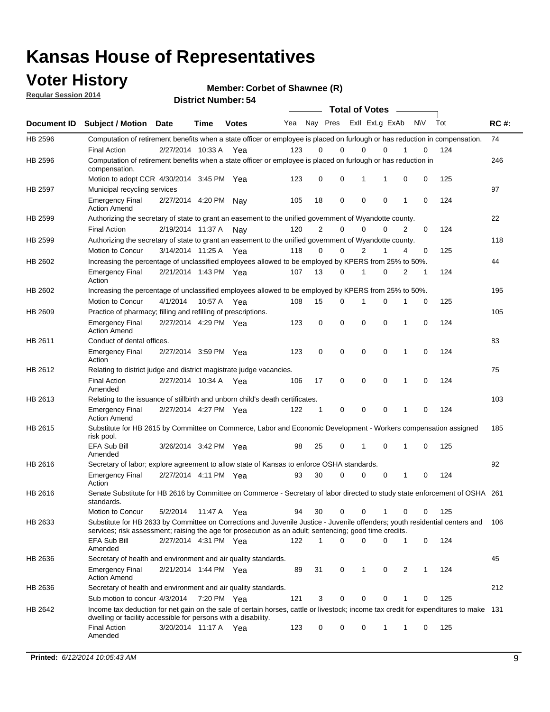### **Voter History**

**Regular Session 2014**

**Member: Corbet of Shawnee (R)** 

|         |                                                                                                                                                                                                                                       |                       |             |              |     |                | <b>Total of Votes</b>   |             |             |              |           |     |             |
|---------|---------------------------------------------------------------------------------------------------------------------------------------------------------------------------------------------------------------------------------------|-----------------------|-------------|--------------|-----|----------------|-------------------------|-------------|-------------|--------------|-----------|-----|-------------|
|         | Document ID Subject / Motion Date                                                                                                                                                                                                     |                       | <b>Time</b> | <b>Votes</b> | Yea |                | Nay Pres Exll ExLg ExAb |             |             |              | <b>NV</b> | Tot | <b>RC#:</b> |
| HB 2596 | Computation of retirement benefits when a state officer or employee is placed on furlough or has reduction in compensation.<br><b>Final Action</b>                                                                                    | 2/27/2014 10:33 A     |             |              | 123 | 0              | 0                       | $\mathbf 0$ | $\Omega$    |              | 0         | 124 | 74          |
| HB 2596 | Computation of retirement benefits when a state officer or employee is placed on furlough or has reduction in<br>compensation.                                                                                                        |                       |             | Yea          |     |                |                         |             |             |              |           |     | 246         |
|         | Motion to adopt CCR 4/30/2014 3:45 PM Yea                                                                                                                                                                                             |                       |             |              | 123 | 0              | 0                       | 1           | 1           | 0            | 0         | 125 |             |
| HB 2597 | Municipal recycling services                                                                                                                                                                                                          |                       |             |              |     |                |                         |             |             |              |           |     | 97          |
|         | <b>Emergency Final</b><br><b>Action Amend</b>                                                                                                                                                                                         | 2/27/2014 4:20 PM Nay |             |              | 105 | 18             | 0                       | $\mathbf 0$ | 0           | 1            | 0         | 124 |             |
| HB 2599 | Authorizing the secretary of state to grant an easement to the unified government of Wyandotte county.                                                                                                                                |                       |             |              |     |                |                         |             |             |              |           |     | 22          |
|         | <b>Final Action</b>                                                                                                                                                                                                                   | 2/19/2014 11:37 A     |             | Nay          | 120 | $\overline{2}$ | 0                       | 0           | $\Omega$    | 2            | $\Omega$  | 124 |             |
| HB 2599 | Authorizing the secretary of state to grant an easement to the unified government of Wyandotte county.                                                                                                                                |                       |             |              |     |                |                         |             |             |              |           |     | 118         |
|         | Motion to Concur                                                                                                                                                                                                                      | 3/14/2014 11:25 A     |             | Yea          | 118 | 0              | 0                       | 2           | 1           | 4            | 0         | 125 |             |
| HB 2602 | Increasing the percentage of unclassified employees allowed to be employed by KPERS from 25% to 50%.                                                                                                                                  |                       |             |              |     |                |                         |             |             |              |           |     | 44          |
|         | <b>Emergency Final</b><br>Action                                                                                                                                                                                                      | 2/21/2014 1:43 PM Yea |             |              | 107 | 13             | 0                       | 1           | 0           | 2            | 1         | 124 |             |
| HB 2602 | Increasing the percentage of unclassified employees allowed to be employed by KPERS from 25% to 50%.                                                                                                                                  |                       |             |              |     |                |                         |             |             |              |           |     | 195         |
|         | Motion to Concur                                                                                                                                                                                                                      | 4/1/2014              | 10:57 A     | Yea          | 108 | 15             | 0                       | 1           | $\mathbf 0$ | 1            | 0         | 125 |             |
| HB 2609 | Practice of pharmacy; filling and refilling of prescriptions.                                                                                                                                                                         |                       |             |              |     |                |                         |             |             |              |           |     | 105         |
|         | <b>Emergency Final</b><br><b>Action Amend</b>                                                                                                                                                                                         | 2/27/2014 4:29 PM Yea |             |              | 123 | 0              | $\mathbf 0$             | $\mathbf 0$ | $\mathbf 0$ | 1            | 0         | 124 |             |
| HB 2611 | Conduct of dental offices.                                                                                                                                                                                                            |                       |             |              |     |                |                         |             |             |              |           |     | 83          |
|         | <b>Emergency Final</b><br>Action                                                                                                                                                                                                      | 2/27/2014 3:59 PM Yea |             |              | 123 | 0              | $\mathbf 0$             | $\mathbf 0$ | 0           | 1            | 0         | 124 |             |
| HB 2612 | Relating to district judge and district magistrate judge vacancies.                                                                                                                                                                   |                       |             |              |     |                |                         |             |             |              |           |     | 75          |
|         | <b>Final Action</b><br>Amended                                                                                                                                                                                                        | 2/27/2014 10:34 A     |             | Yea          | 106 | 17             | $\mathbf 0$             | $\mathbf 0$ | $\mathbf 0$ | 1            | 0         | 124 |             |
| HB 2613 | Relating to the issuance of stillbirth and unborn child's death certificates.                                                                                                                                                         |                       |             |              |     |                |                         |             |             |              |           |     | 103         |
|         | <b>Emergency Final</b><br><b>Action Amend</b>                                                                                                                                                                                         | 2/27/2014 4:27 PM Yea |             |              | 122 | $\mathbf{1}$   | $\mathbf 0$             | $\mathbf 0$ | $\Omega$    | $\mathbf{1}$ | $\Omega$  | 124 |             |
| HB 2615 | Substitute for HB 2615 by Committee on Commerce, Labor and Economic Development - Workers compensation assigned<br>risk pool.                                                                                                         |                       |             |              |     |                |                         |             |             |              |           |     | 185         |
|         | EFA Sub Bill<br>Amended                                                                                                                                                                                                               | 3/26/2014 3:42 PM Yea |             |              | 98  | 25             | 0                       | 1           | $\mathbf 0$ | 1            | 0         | 125 |             |
| HB 2616 | Secretary of labor; explore agreement to allow state of Kansas to enforce OSHA standards.                                                                                                                                             |                       |             |              |     |                |                         |             |             |              |           |     | 92          |
|         | <b>Emergency Final</b><br>Action                                                                                                                                                                                                      | 2/27/2014 4:11 PM Yea |             |              | 93  | 30             | $\Omega$                | $\mathbf 0$ | 0           | 1            | 0         | 124 |             |
| HB 2616 | Senate Substitute for HB 2616 by Committee on Commerce - Secretary of labor directed to study state enforcement of OSHA 261<br>standards.                                                                                             |                       |             |              |     |                |                         |             |             |              |           |     |             |
|         | Motion to Concur                                                                                                                                                                                                                      | 5/2/2014 11:47 A Yea  |             |              | 94  | 30             | $\mathbf 0$             | 0           | 1           | 0            | 0         | 125 |             |
| HB 2633 | Substitute for HB 2633 by Committee on Corrections and Juvenile Justice - Juvenile offenders; youth residential centers and<br>services; risk assessment; raising the age for prosecution as an adult; sentencing; good time credits. |                       |             |              |     |                |                         |             |             |              |           |     | 106         |
|         | EFA Sub Bill<br>Amended                                                                                                                                                                                                               | 2/27/2014 4:31 PM Yea |             |              | 122 | 1              | $\Omega$                | $\Omega$    | 0           | 1            | 0         | 124 |             |
| HB 2636 | Secretary of health and environment and air quality standards.                                                                                                                                                                        |                       |             |              |     |                |                         |             |             |              |           |     | 45          |
|         | <b>Emergency Final</b><br><b>Action Amend</b>                                                                                                                                                                                         | 2/21/2014 1:44 PM Yea |             |              | 89  | 31             | 0                       | 1           | 0           | 2            | 1         | 124 |             |
| HB 2636 | Secretary of health and environment and air quality standards.                                                                                                                                                                        |                       |             |              |     |                |                         |             |             |              |           |     | 212         |
|         | Sub motion to concur 4/3/2014 7:20 PM Yea                                                                                                                                                                                             |                       |             |              | 121 | 3              | 0                       | 0           | 0           |              | 0         | 125 |             |
| HB 2642 | Income tax deduction for net gain on the sale of certain horses, cattle or livestock; income tax credit for expenditures to make 131<br>dwelling or facility accessible for persons with a disability.                                |                       |             |              |     |                |                         |             |             |              |           |     |             |
|         | <b>Final Action</b><br>Amended                                                                                                                                                                                                        | 3/20/2014 11:17 A Yea |             |              | 123 | 0              | 0                       | 0           | 1           | 1            | 0         | 125 |             |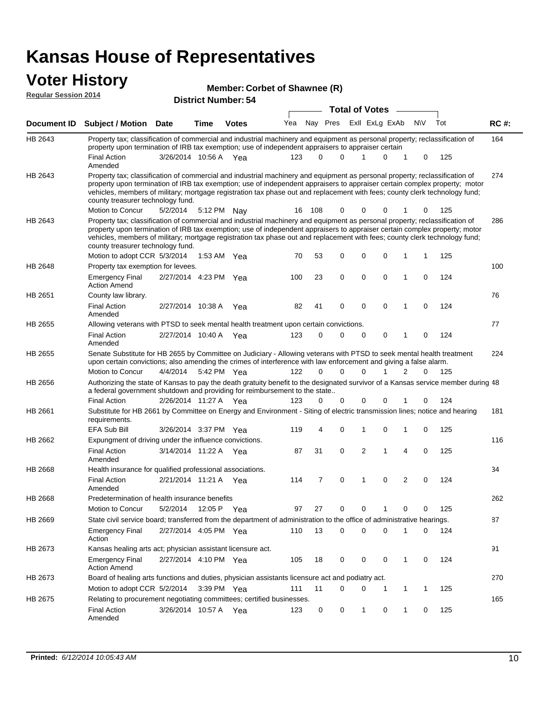#### **Voter History**

|                             |                                                                                                                                                                                                                                                                                                                                                                                                                               |                       |             | Member: Corbet of Shawnee (R) |     |          |          |                       |   |                |             |     |       |
|-----------------------------|-------------------------------------------------------------------------------------------------------------------------------------------------------------------------------------------------------------------------------------------------------------------------------------------------------------------------------------------------------------------------------------------------------------------------------|-----------------------|-------------|-------------------------------|-----|----------|----------|-----------------------|---|----------------|-------------|-----|-------|
| <b>Regular Session 2014</b> | <b>District Number: 54</b>                                                                                                                                                                                                                                                                                                                                                                                                    |                       |             |                               |     |          |          |                       |   |                |             |     |       |
|                             |                                                                                                                                                                                                                                                                                                                                                                                                                               |                       |             |                               |     |          |          | <b>Total of Votes</b> |   |                |             |     |       |
| <b>Document ID</b>          | <b>Subject / Motion Date</b>                                                                                                                                                                                                                                                                                                                                                                                                  |                       | Time        | <b>Votes</b>                  | Yea | Nay Pres |          | Exll ExLg ExAb        |   |                | <b>NV</b>   | Tot | RC #: |
| HB 2643                     | Property tax; classification of commercial and industrial machinery and equipment as personal property; reclassification of<br>property upon termination of IRB tax exemption; use of independent appraisers to appraiser certain                                                                                                                                                                                             |                       |             |                               |     |          |          |                       |   |                |             |     | 164   |
|                             | <b>Final Action</b><br>Amended                                                                                                                                                                                                                                                                                                                                                                                                | 3/26/2014 10:56 A Yea |             |                               | 123 | $\Omega$ | $\Omega$ | 1                     | 0 | 1              | 0           | 125 |       |
| HB 2643                     | Property tax; classification of commercial and industrial machinery and equipment as personal property; reclassification of<br>property upon termination of IRB tax exemption; use of independent appraisers to appraiser certain complex property; motor<br>vehicles, members of military; mortgage registration tax phase out and replacement with fees; county clerk technology fund;<br>county treasurer technology fund. |                       |             |                               |     |          |          |                       |   |                |             |     | 274   |
|                             | Motion to Concur                                                                                                                                                                                                                                                                                                                                                                                                              | 5/2/2014              |             | 5:12 PM Nay                   | 16  | 108      | 0        | 0                     |   |                |             | 125 |       |
| HB 2643                     | Property tax; classification of commercial and industrial machinery and equipment as personal property; reclassification of<br>property upon termination of IRB tax exemption; use of independent appraisers to appraiser certain complex property; motor<br>vehicles, members of military; mortgage registration tax phase out and replacement with fees; county clerk technology fund;<br>county treasurer technology fund. |                       |             |                               |     |          |          |                       |   |                |             |     | 286   |
|                             | Motion to adopt CCR 5/3/2014                                                                                                                                                                                                                                                                                                                                                                                                  |                       | 1:53 AM Yea |                               | 70  | 53       | 0        | 0                     | 0 | 1              | 1           | 125 |       |
| HB 2648                     | Property tax exemption for levees.<br><b>Emergency Final</b><br><b>Action Amend</b>                                                                                                                                                                                                                                                                                                                                           | 2/27/2014 4:23 PM Yea |             |                               | 100 | 23       | 0        | 0                     | 0 | 1              | 0           | 124 | 100   |
| HB 2651                     | County law library.                                                                                                                                                                                                                                                                                                                                                                                                           |                       |             |                               |     |          |          |                       |   |                |             |     | 76    |
|                             | <b>Final Action</b><br>Amended                                                                                                                                                                                                                                                                                                                                                                                                | 2/27/2014 10:38 A     |             | Yea                           | 82  | 41       | 0        | 0                     | 0 | 1              | $\mathbf 0$ | 124 |       |
| HB 2655                     | Allowing veterans with PTSD to seek mental health treatment upon certain convictions.                                                                                                                                                                                                                                                                                                                                         |                       |             |                               |     |          |          |                       |   |                |             |     | 77    |
|                             | <b>Final Action</b><br>Amended                                                                                                                                                                                                                                                                                                                                                                                                | 2/27/2014 10:40 A     |             | Yea                           | 123 | 0        | 0        | 0                     | 0 | 1              | 0           | 124 |       |
| HB 2655                     | Senate Substitute for HB 2655 by Committee on Judiciary - Allowing veterans with PTSD to seek mental health treatment<br>upon certain convictions; also amending the crimes of interference with law enforcement and giving a false alarm.                                                                                                                                                                                    |                       |             |                               |     |          |          |                       |   |                |             |     | 224   |
|                             | Motion to Concur                                                                                                                                                                                                                                                                                                                                                                                                              | 4/4/2014              |             | 5:42 PM Yea                   | 122 | 0        | $\Omega$ | 0                     |   | 2              | 0           | 125 |       |
| HB 2656                     | Authorizing the state of Kansas to pay the death gratuity benefit to the designated survivor of a Kansas service member during 48<br>a federal government shutdown and providing for reimbursement to the state                                                                                                                                                                                                               |                       |             |                               |     |          |          |                       |   |                |             |     |       |
|                             | <b>Final Action</b>                                                                                                                                                                                                                                                                                                                                                                                                           | 2/26/2014 11:27 A Yea |             |                               | 123 | 0        | 0        | 0                     | 0 |                | 0           | 124 |       |
| HB 2661                     | Substitute for HB 2661 by Committee on Energy and Environment - Siting of electric transmission lines; notice and hearing<br>requirements.                                                                                                                                                                                                                                                                                    |                       |             |                               |     |          |          |                       |   |                |             |     | 181   |
|                             | <b>EFA Sub Bill</b>                                                                                                                                                                                                                                                                                                                                                                                                           | 3/26/2014 3:37 PM Yea |             |                               | 119 | 4        | 0        | 1                     | 0 | 1              | 0           | 125 |       |
| HB 2662                     | Expungment of driving under the influence convictions.                                                                                                                                                                                                                                                                                                                                                                        |                       |             |                               |     |          |          |                       |   |                |             |     | 116   |
|                             | <b>Final Action</b><br>Amended                                                                                                                                                                                                                                                                                                                                                                                                | 3/14/2014 11:22 A Yea |             |                               | 87  | 31       | 0        | 2                     | 1 | $\overline{4}$ | 0           | 125 |       |
| HB 2668                     | Health insurance for qualified professional associations.                                                                                                                                                                                                                                                                                                                                                                     |                       |             |                               |     |          |          |                       |   |                |             |     | 34    |
|                             | <b>Final Action</b><br>Amended                                                                                                                                                                                                                                                                                                                                                                                                | 2/21/2014 11:21 A Yea |             |                               | 114 | 7        | 0        | 1                     | 0 | 2              | 0           | 124 |       |
| HB 2668                     | Predetermination of health insurance benefits                                                                                                                                                                                                                                                                                                                                                                                 |                       |             |                               |     |          |          |                       |   |                |             |     | 262   |
|                             | Motion to Concur                                                                                                                                                                                                                                                                                                                                                                                                              | 5/2/2014              | 12:05 P Yea |                               | 97  | 27       | 0        | 0                     | 1 | 0              | 0           | 125 |       |
| HB 2669                     | State civil service board; transferred from the department of administration to the office of administrative hearings.                                                                                                                                                                                                                                                                                                        |                       |             |                               |     |          |          |                       |   |                |             |     | 87    |
|                             | <b>Emergency Final</b><br>Action                                                                                                                                                                                                                                                                                                                                                                                              | 2/27/2014 4:05 PM Yea |             |                               | 110 | 13       | 0        | 0                     | 0 | 1              | 0           | 124 |       |
| HB 2673                     | Kansas healing arts act; physician assistant licensure act.                                                                                                                                                                                                                                                                                                                                                                   |                       |             |                               |     |          |          |                       |   |                |             |     | 91    |
|                             | <b>Emergency Final</b><br><b>Action Amend</b>                                                                                                                                                                                                                                                                                                                                                                                 | 2/27/2014 4:10 PM Yea |             |                               | 105 | 18       | 0        | 0                     | 0 | $\mathbf{1}$   | 0           | 124 |       |
| HB 2673                     | Board of healing arts functions and duties, physician assistants licensure act and podiatry act.                                                                                                                                                                                                                                                                                                                              |                       |             |                               |     |          |          |                       |   |                |             |     | 270   |

Motion to adopt CCR 5/2/2014 3:39 PM Yea 111 11 0 0 1 1 1 125

Relating to procurement negotiating committees; certified businesses.

Final Action 3/26/2014 10:57 A Yea 123 0 0 1 0 125

Amended

HB 2675

165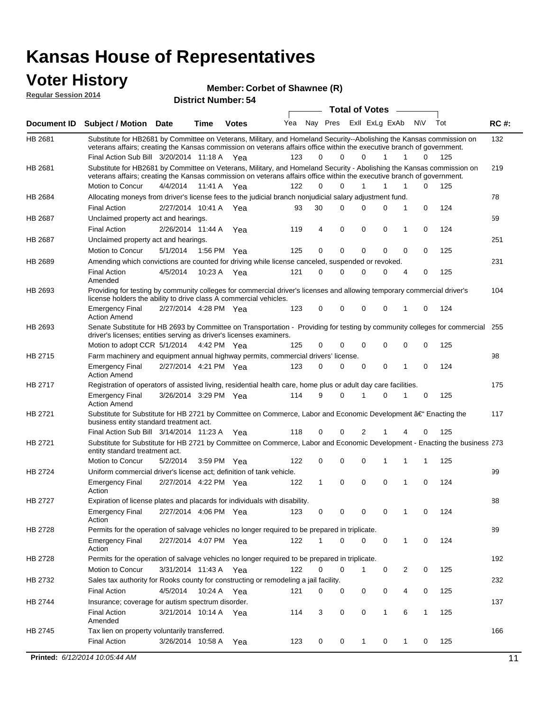#### **Voter History Regular Session 2014**

**Member: Corbet of Shawnee (R)** 

| noguidi ocoololi 4014 |                                                                                                                                                                                                                                                                                               |                       |                   | <b>District Number: 54</b> |     |              |                             |    |                       |              |           |          |             |
|-----------------------|-----------------------------------------------------------------------------------------------------------------------------------------------------------------------------------------------------------------------------------------------------------------------------------------------|-----------------------|-------------------|----------------------------|-----|--------------|-----------------------------|----|-----------------------|--------------|-----------|----------|-------------|
|                       |                                                                                                                                                                                                                                                                                               |                       |                   |                            |     |              |                             |    | <b>Total of Votes</b> |              |           |          |             |
| <b>Document ID</b>    | <b>Subject / Motion Date</b>                                                                                                                                                                                                                                                                  |                       | Time              | <b>Votes</b>               |     |              | Yea Nay Pres ExII ExLg ExAb |    |                       |              | <b>NV</b> | Tot      | <b>RC#:</b> |
| HB 2681               | Substitute for HB2681 by Committee on Veterans, Military, and Homeland Security--Abolishing the Kansas commission on<br>veterans affairs; creating the Kansas commission on veterans affairs office within the executive branch of government.<br>Final Action Sub Bill 3/20/2014 11:18 A Yea |                       |                   |                            | 123 | 0            | 0                           |    | $\Omega$              | 1            | 1<br>0    | 125      | 132         |
| HB 2681               | Substitute for HB2681 by Committee on Veterans, Military, and Homeland Security - Abolishing the Kansas commission on                                                                                                                                                                         |                       |                   |                            |     |              |                             |    |                       |              |           |          | 219         |
|                       | veterans affairs; creating the Kansas commission on veterans affairs office within the executive branch of government.                                                                                                                                                                        |                       |                   |                            |     |              |                             |    |                       |              |           |          |             |
|                       | Motion to Concur                                                                                                                                                                                                                                                                              | 4/4/2014 11:41 A Yea  |                   |                            | 122 | 0            | 0                           |    | 1                     | 1            | 0<br>1    | 125      |             |
| HB 2684               | Allocating moneys from driver's license fees to the judicial branch nonjudicial salary adjustment fund.                                                                                                                                                                                       |                       |                   |                            |     |              |                             |    |                       |              |           |          | 78          |
|                       | <b>Final Action</b>                                                                                                                                                                                                                                                                           | 2/27/2014 10:41 A     |                   | Yea                        | 93  | 30           | 0                           |    | $\Omega$              | 0            | 1<br>0    | 124      |             |
| HB 2687               | Unclaimed property act and hearings.                                                                                                                                                                                                                                                          |                       |                   |                            |     |              |                             |    |                       |              |           |          | 59          |
|                       | <b>Final Action</b>                                                                                                                                                                                                                                                                           | 2/26/2014 11:44 A     |                   | Yea                        | 119 | 4            | 0                           |    | 0                     | 0            | 0<br>1    | 124      |             |
| HB 2687               | Unclaimed property act and hearings.                                                                                                                                                                                                                                                          |                       |                   |                            |     |              |                             |    |                       |              |           |          | 251         |
|                       | Motion to Concur                                                                                                                                                                                                                                                                              | 5/1/2014              | 1:56 PM           | Yea                        | 125 | 0            | 0                           |    | 0                     | 0            | 0<br>0    | 125      |             |
| HB 2689               | Amending which convictions are counted for driving while license canceled, suspended or revoked.                                                                                                                                                                                              |                       |                   |                            |     |              |                             |    |                       |              |           |          | 231         |
|                       | <b>Final Action</b><br>Amended                                                                                                                                                                                                                                                                | 4/5/2014              | 10:23 A           | Yea                        | 121 | 0            | 0                           |    | $\Omega$              | 0            | 0<br>4    | 125      |             |
| HB 2693               | Providing for testing by community colleges for commercial driver's licenses and allowing temporary commercial driver's<br>license holders the ability to drive class A commercial vehicles.                                                                                                  |                       |                   |                            |     |              |                             |    |                       |              |           |          | 104         |
|                       | <b>Emergency Final</b><br><b>Action Amend</b>                                                                                                                                                                                                                                                 | 2/27/2014 4:28 PM Yea |                   |                            | 123 | 0            | 0                           |    | 0                     | 0            | 0<br>1    | 124      |             |
| HB 2693               | Senate Substitute for HB 2693 by Committee on Transportation - Providing for testing by community colleges for commercial<br>driver's licenses; entities serving as driver's licenses examiners.                                                                                              |                       |                   |                            |     |              |                             |    |                       |              |           |          | 255         |
| HB 2715               | Motion to adopt CCR 5/1/2014 4:42 PM Yea                                                                                                                                                                                                                                                      |                       |                   |                            | 125 | 0            | 0                           |    | 0                     | 0            | 0<br>0    | 125      |             |
|                       | Farm machinery and equipment annual highway permits, commercial drivers' license.                                                                                                                                                                                                             |                       |                   |                            |     |              |                             |    |                       |              |           |          | 98          |
|                       | <b>Emergency Final</b><br><b>Action Amend</b>                                                                                                                                                                                                                                                 | 2/27/2014 4:21 PM Yea |                   |                            | 123 | $\mathbf 0$  | 0                           |    | 0                     | 0            | 0<br>1    | 124      |             |
| HB 2717               | Registration of operators of assisted living, residential health care, home plus or adult day care facilities.                                                                                                                                                                                |                       |                   |                            |     |              |                             |    |                       |              |           |          | 175         |
|                       | <b>Emergency Final</b><br><b>Action Amend</b>                                                                                                                                                                                                                                                 | 3/26/2014 3:29 PM Yea |                   |                            | 114 | 9            | 0                           | -1 |                       | 0            | 0         | 125      |             |
| HB 2721               | Substitute for Substitute for HB 2721 by Committee on Commerce, Labor and Economic Development â€ <sup>"</sup> Enacting the<br>business entity standard treatment act.                                                                                                                        |                       |                   |                            |     |              |                             |    |                       |              |           |          | 117         |
|                       | Final Action Sub Bill 3/14/2014 11:23 A Yea                                                                                                                                                                                                                                                   |                       |                   |                            | 118 | 0            | 0                           |    | 2                     |              | 4<br>0    | 125      |             |
| HB 2721               | Substitute for Substitute for HB 2721 by Committee on Commerce, Labor and Economic Development - Enacting the business 273<br>entity standard treatment act.                                                                                                                                  |                       |                   |                            |     |              |                             |    |                       |              |           |          |             |
|                       | Motion to Concur                                                                                                                                                                                                                                                                              | 5/2/2014              | 3:59 PM           | Yea                        | 122 | 0            | 0                           |    | $\mathbf 0$           | 1            | 1<br>1    | 125      |             |
| HB 2724               | Uniform commercial driver's license act; definition of tank vehicle.                                                                                                                                                                                                                          |                       |                   |                            |     |              |                             |    |                       |              |           |          | 99          |
|                       | <b>Emergency Final</b><br>Action                                                                                                                                                                                                                                                              | 2/27/2014 4:22 PM Yea |                   |                            | 122 | $\mathbf{1}$ | 0                           |    | 0                     | 0            | 1<br>0    | 124      |             |
| HB 2727               | Expiration of license plates and placards for individuals with disability.                                                                                                                                                                                                                    |                       |                   |                            |     |              |                             |    |                       |              |           |          | 88          |
|                       | Emergency Final<br>Action                                                                                                                                                                                                                                                                     | 2/27/2014 4:06 PM Yea |                   |                            | 123 | 0            | 0                           |    | 0                     | 0            | 0<br>1    | 124      |             |
| HB 2728               | Permits for the operation of salvage vehicles no longer required to be prepared in triplicate.                                                                                                                                                                                                |                       |                   |                            |     |              |                             |    |                       |              |           |          | 89          |
|                       | <b>Emergency Final</b><br>Action                                                                                                                                                                                                                                                              | 2/27/2014 4:07 PM Yea |                   |                            | 122 | 1            | 0                           |    | $\Omega$              | 0            | 1<br>0    | 124      |             |
| HB 2728               | Permits for the operation of salvage vehicles no longer required to be prepared in triplicate.                                                                                                                                                                                                |                       |                   |                            |     |              |                             |    |                       |              |           |          | 192         |
|                       | Motion to Concur                                                                                                                                                                                                                                                                              | 3/31/2014 11:43 A Yea |                   |                            | 122 | 0            | 0                           |    | 1                     | 0            | 2<br>0    | 125      |             |
| HB 2732               | Sales tax authority for Rooks county for constructing or remodeling a jail facility.                                                                                                                                                                                                          |                       |                   |                            |     |              |                             |    |                       |              |           |          | 232         |
|                       | <b>Final Action</b>                                                                                                                                                                                                                                                                           | 4/5/2014              |                   | 10:24 A Yea                | 121 | 0            | 0                           |    | 0                     | 0            | 4<br>0    | 125      |             |
| HB 2744               | Insurance; coverage for autism spectrum disorder.                                                                                                                                                                                                                                             |                       |                   |                            |     |              |                             |    |                       |              |           |          | 137         |
|                       | <b>Final Action</b><br>Amended                                                                                                                                                                                                                                                                | 3/21/2014 10:14 A Yea |                   |                            | 114 | 3            | 0                           |    | 0                     | $\mathbf{1}$ | 6<br>1    | 125      |             |
| HB 2745               | Tax lien on property voluntarily transferred.                                                                                                                                                                                                                                                 |                       |                   |                            |     |              |                             |    |                       |              |           |          | 166         |
|                       |                                                                                                                                                                                                                                                                                               |                       | 3/26/2014 10:58 A | Yea                        |     | 0            | 0                           |    |                       |              |           | 125<br>0 |             |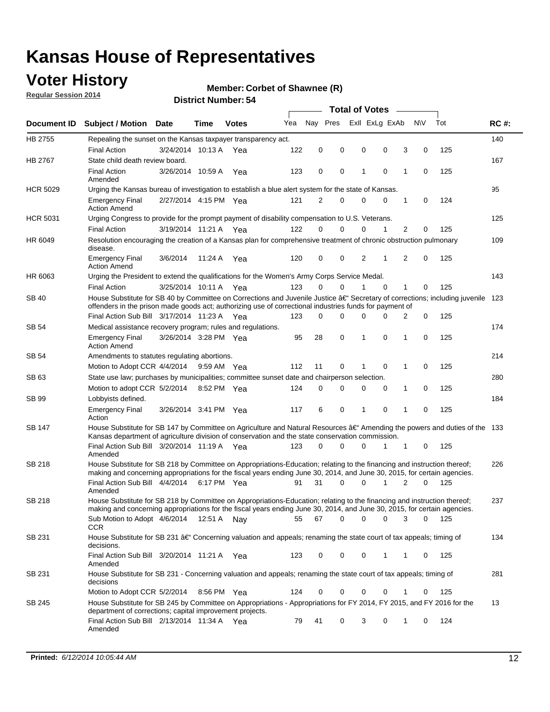### **Voter History**

**Regular Session 2014**

#### **Member: Corbet of Shawnee (R)**

|                    |                                                                                                                                                                                                                                      |                       |             |              |     |          |          | <b>Total of Votes</b> |                |             |                |             |     |             |
|--------------------|--------------------------------------------------------------------------------------------------------------------------------------------------------------------------------------------------------------------------------------|-----------------------|-------------|--------------|-----|----------|----------|-----------------------|----------------|-------------|----------------|-------------|-----|-------------|
| <b>Document ID</b> | <b>Subject / Motion Date</b>                                                                                                                                                                                                         |                       | Time        | <b>Votes</b> | Yea | Nav Pres |          |                       | Exll ExLg ExAb |             | <b>NV</b>      |             | Tot | <b>RC#:</b> |
| HB 2755            | Repealing the sunset on the Kansas taxpayer transparency act.                                                                                                                                                                        |                       |             |              |     |          |          |                       |                |             |                |             |     | 140         |
|                    | <b>Final Action</b>                                                                                                                                                                                                                  | 3/24/2014 10:13 A     |             | Yea          | 122 | 0        | 0        | 0                     |                | 0           | 3              | 0           | 125 |             |
| HB 2767            | State child death review board.                                                                                                                                                                                                      |                       |             |              |     |          |          |                       |                |             |                |             |     | 167         |
|                    | <b>Final Action</b><br>Amended                                                                                                                                                                                                       | 3/26/2014 10:59 A     |             | Yea          | 123 | 0        | 0        | 1                     |                | $\mathbf 0$ | 1              | 0           | 125 |             |
| <b>HCR 5029</b>    | Urging the Kansas bureau of investigation to establish a blue alert system for the state of Kansas.                                                                                                                                  |                       |             |              |     |          |          |                       |                |             |                |             |     | 95          |
|                    | <b>Emergency Final</b><br><b>Action Amend</b>                                                                                                                                                                                        | 2/27/2014 4:15 PM Yea |             |              | 121 | 2        | 0        | 0                     |                | 0           | 1              | 0           | 124 |             |
| <b>HCR 5031</b>    | Urging Congress to provide for the prompt payment of disability compensation to U.S. Veterans.                                                                                                                                       |                       |             |              |     |          |          |                       |                |             |                |             |     | 125         |
|                    | <b>Final Action</b>                                                                                                                                                                                                                  | 3/19/2014 11:21 A Yea |             |              | 122 | $\Omega$ | $\Omega$ | 0                     |                | 1           | 2              | 0           | 125 |             |
| HR 6049            | Resolution encouraging the creation of a Kansas plan for comprehensive treatment of chronic obstruction pulmonary<br>disease.                                                                                                        |                       |             |              |     |          |          |                       |                |             |                |             |     | 109         |
|                    | <b>Emergency Final</b><br><b>Action Amend</b>                                                                                                                                                                                        | 3/6/2014              | 11:24 A     | Yea          | 120 | 0        | 0        | 2                     |                | 1           | $\overline{2}$ | $\mathbf 0$ | 125 |             |
| HR 6063            | Urging the President to extend the qualifications for the Women's Army Corps Service Medal.                                                                                                                                          |                       |             |              |     |          |          |                       |                |             |                |             |     | 143         |
|                    | <b>Final Action</b>                                                                                                                                                                                                                  | 3/25/2014 10:11 A Yea |             |              | 123 | $\Omega$ | $\Omega$ | 1                     |                | $\Omega$    | 1              | 0           | 125 |             |
| SB 40              | House Substitute for SB 40 by Committee on Corrections and Juvenile Justice †Secretary of corrections; including juvenile<br>offenders in the prison made goods act; authorizing use of correctional industries funds for payment of |                       |             |              |     |          |          |                       |                |             |                |             |     | 123         |
|                    | Final Action Sub Bill 3/17/2014 11:23 A Yea                                                                                                                                                                                          |                       |             |              | 123 | 0        | 0        | 0                     |                | $\Omega$    | 2              | 0           | 125 |             |
| SB 54              | Medical assistance recovery program; rules and regulations.                                                                                                                                                                          |                       |             |              |     |          |          |                       |                |             |                |             |     | 174         |
|                    | <b>Emergency Final</b><br><b>Action Amend</b>                                                                                                                                                                                        | 3/26/2014 3:28 PM Yea |             |              | 95  | 28       | 0        | 1                     |                | 0           | 1              | 0           | 125 |             |
| SB 54              | Amendments to statutes regulating abortions.                                                                                                                                                                                         |                       |             |              |     |          |          |                       |                |             |                |             |     | 214         |
|                    | Motion to Adopt CCR 4/4/2014                                                                                                                                                                                                         |                       | 9:59 AM Yea |              | 112 | 11       | 0        |                       |                | $\mathbf 0$ | 1              | 0           | 125 |             |
| SB 63              | State use law; purchases by municipalities; committee sunset date and chairperson selection.                                                                                                                                         |                       |             |              |     |          |          |                       |                |             |                |             |     | 280         |
|                    | Motion to adopt CCR 5/2/2014                                                                                                                                                                                                         |                       |             | 8:52 PM Yea  | 124 | 0        | 0        | 0                     |                | 0           | 1              | 0           | 125 |             |
| SB 99              | Lobbyists defined.                                                                                                                                                                                                                   |                       |             |              |     |          |          |                       |                |             |                |             |     | 184         |
|                    | <b>Emergency Final</b><br>Action                                                                                                                                                                                                     | 3/26/2014 3:41 PM Yea |             |              | 117 | 6        | 0        | 1                     |                | 0           | 1              | 0           | 125 |             |
| SB 147             | House Substitute for SB 147 by Committee on Agriculture and Natural Resources †Amending the powers and duties of the 133<br>Kansas department of agriculture division of conservation and the state conservation commission.         |                       |             |              |     |          |          |                       |                |             |                |             |     |             |
|                    | Final Action Sub Bill 3/20/2014 11:19 A Yea<br>Amended                                                                                                                                                                               |                       |             |              | 123 | 0        | $\Omega$ | 0                     |                | 1           | 1              | 0           | 125 |             |
| SB 218             | House Substitute for SB 218 by Committee on Appropriations-Education; relating to the financing and instruction thereof;                                                                                                             |                       |             |              |     |          |          |                       |                |             |                |             |     | 226         |
|                    | making and concerning appropriations for the fiscal years ending June 30, 2014, and June 30, 2015, for certain agencies.<br>Final Action Sub Bill 4/4/2014                                                                           |                       |             | 6:17 PM Yea  | 91  | 31       | $\Omega$ | 0                     |                | 1           | $\overline{2}$ | $\Omega$    | 125 |             |
|                    | Amended                                                                                                                                                                                                                              |                       |             |              |     |          |          |                       |                |             |                |             |     |             |
| SB 218             | House Substitute for SB 218 by Committee on Appropriations-Education; relating to the financing and instruction thereof;                                                                                                             |                       |             |              |     |          |          |                       |                |             |                |             |     | 237         |
|                    | making and concerning appropriations for the fiscal years ending June 30, 2014, and June 30, 2015, for certain agencies.                                                                                                             |                       |             |              |     |          |          |                       |                |             |                |             |     |             |
|                    | Sub Motion to Adopt 4/6/2014 12:51 A Nay<br><b>CCR</b>                                                                                                                                                                               |                       |             |              | 55  | 67       | 0        | 0                     |                | 0           | 3              | 0           | 125 |             |
| SB 231             | House Substitute for SB 231 †Concerning valuation and appeals; renaming the state court of tax appeals; timing of<br>decisions.                                                                                                      |                       |             |              |     |          |          |                       |                |             |                |             |     | 134         |
|                    | Final Action Sub Bill 3/20/2014 11:21 A Yea<br>Amended                                                                                                                                                                               |                       |             |              | 123 | 0        | 0        | 0                     |                | 1           | 1              | 0           | 125 |             |
| SB 231             | House Substitute for SB 231 - Concerning valuation and appeals; renaming the state court of tax appeals; timing of<br>decisions                                                                                                      |                       |             |              |     |          |          |                       |                |             |                |             |     | 281         |
|                    | Motion to Adopt CCR 5/2/2014                                                                                                                                                                                                         |                       |             | 8:56 PM Yea  | 124 | 0        | 0        | 0                     |                | $\mathbf 0$ | 1              | 0           | 125 |             |
| SB 245             | House Substitute for SB 245 by Committee on Appropriations - Appropriations for FY 2014, FY 2015, and FY 2016 for the<br>department of corrections; capital improvement projects.                                                    |                       |             |              |     |          |          |                       |                |             |                |             |     | 13          |
|                    | Final Action Sub Bill 2/13/2014 11:34 A Yea<br>Amended                                                                                                                                                                               |                       |             |              | 79  | 41       | 0        | 3                     |                | 0           | 1              | 0           | 124 |             |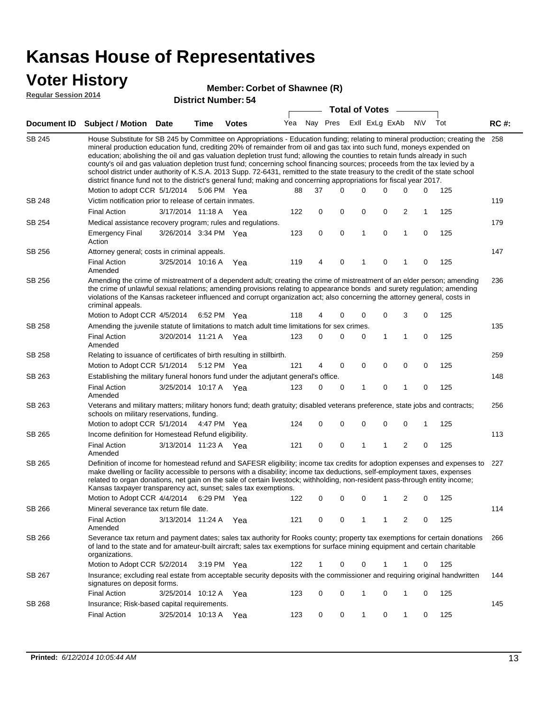### **Voter History**

#### **Member: Corbet of Shawnee (R)**

**Regular Session 2014**

| <b>Total of Votes</b> |                                                                                                                                                                                                                                                                                                                                                                                                                                                                                                                                                                                                                                                                                                                                                                               |                       |      |              |     |             |           |                |              |   |             |     |             |
|-----------------------|-------------------------------------------------------------------------------------------------------------------------------------------------------------------------------------------------------------------------------------------------------------------------------------------------------------------------------------------------------------------------------------------------------------------------------------------------------------------------------------------------------------------------------------------------------------------------------------------------------------------------------------------------------------------------------------------------------------------------------------------------------------------------------|-----------------------|------|--------------|-----|-------------|-----------|----------------|--------------|---|-------------|-----|-------------|
| Document ID           | <b>Subject / Motion Date</b>                                                                                                                                                                                                                                                                                                                                                                                                                                                                                                                                                                                                                                                                                                                                                  |                       | Time | <b>Votes</b> | Yea | Nay Pres    |           | Exll ExLg ExAb |              |   | <b>NV</b>   | Tot | <b>RC#:</b> |
| SB 245                | House Substitute for SB 245 by Committee on Appropriations - Education funding; relating to mineral production; creating the<br>mineral production education fund, crediting 20% of remainder from oil and gas tax into such fund, moneys expended on<br>education; abolishing the oil and gas valuation depletion trust fund; allowing the counties to retain funds already in such<br>county's oil and gas valuation depletion trust fund; concerning school financing sources; proceeds from the tax levied by a<br>school district under authority of K.S.A. 2013 Supp. 72-6431, remitted to the state treasury to the credit of the state school<br>district finance fund not to the district's general fund; making and concerning appropriations for fiscal year 2017. |                       |      |              |     |             |           |                |              |   |             |     | 258         |
|                       | Motion to adopt CCR 5/1/2014                                                                                                                                                                                                                                                                                                                                                                                                                                                                                                                                                                                                                                                                                                                                                  |                       |      | 5:06 PM Yea  | 88  | 37          | $\Omega$  | 0              | 0            | 0 | 0           | 125 |             |
| SB 248                | Victim notification prior to release of certain inmates.                                                                                                                                                                                                                                                                                                                                                                                                                                                                                                                                                                                                                                                                                                                      |                       |      |              |     |             |           |                |              |   |             |     | 119         |
|                       | <b>Final Action</b><br>Medical assistance recovery program; rules and regulations.                                                                                                                                                                                                                                                                                                                                                                                                                                                                                                                                                                                                                                                                                            | 3/17/2014 11:18 A Yea |      |              | 122 | 0           | 0         | 0              | 0            | 2 | 1           | 125 | 179         |
| SB 254                | Emergency Final<br>Action                                                                                                                                                                                                                                                                                                                                                                                                                                                                                                                                                                                                                                                                                                                                                     | 3/26/2014 3:34 PM Yea |      |              | 123 | 0           | $\pmb{0}$ | 1              | 0            | 1 | 0           | 125 |             |
| SB 256                | Attorney general; costs in criminal appeals.                                                                                                                                                                                                                                                                                                                                                                                                                                                                                                                                                                                                                                                                                                                                  |                       |      |              |     |             |           |                |              |   |             |     | 147         |
|                       | <b>Final Action</b><br>Amended                                                                                                                                                                                                                                                                                                                                                                                                                                                                                                                                                                                                                                                                                                                                                | 3/25/2014 10:16 A     |      | Yea          | 119 | 4           | 0         | 1              | 0            | 1 | 0           | 125 |             |
| SB 256                | Amending the crime of mistreatment of a dependent adult; creating the crime of mistreatment of an elder person; amending<br>the crime of unlawful sexual relations; amending provisions relating to appearance bonds and surety regulation; amending<br>violations of the Kansas racketeer influenced and corrupt organization act; also concerning the attorney general, costs in<br>criminal appeals.                                                                                                                                                                                                                                                                                                                                                                       |                       |      |              |     |             |           |                |              |   |             |     | 236         |
|                       | Motion to Adopt CCR 4/5/2014 6:52 PM Yea                                                                                                                                                                                                                                                                                                                                                                                                                                                                                                                                                                                                                                                                                                                                      |                       |      |              | 118 | 4           | 0         | 0              | 0            | 3 | 0           | 125 |             |
| SB 258                | Amending the juvenile statute of limitations to match adult time limitations for sex crimes.                                                                                                                                                                                                                                                                                                                                                                                                                                                                                                                                                                                                                                                                                  |                       |      |              |     |             |           |                |              |   |             |     | 135         |
|                       | <b>Final Action</b><br>Amended                                                                                                                                                                                                                                                                                                                                                                                                                                                                                                                                                                                                                                                                                                                                                | 3/20/2014 11:21 A Yea |      |              | 123 | 0           | 0         | 0              | $\mathbf{1}$ | 1 | $\mathbf 0$ | 125 |             |
| SB 258                | Relating to issuance of certificates of birth resulting in stillbirth.                                                                                                                                                                                                                                                                                                                                                                                                                                                                                                                                                                                                                                                                                                        |                       |      |              |     |             |           |                |              |   |             |     | 259         |
|                       | Motion to Adopt CCR 5/1/2014                                                                                                                                                                                                                                                                                                                                                                                                                                                                                                                                                                                                                                                                                                                                                  |                       |      | 5:12 PM Yea  | 121 | 4           | 0         | 0              | 0            | 0 | $\mathbf 0$ | 125 |             |
| SB 263                | Establishing the military funeral honors fund under the adjutant general's office.                                                                                                                                                                                                                                                                                                                                                                                                                                                                                                                                                                                                                                                                                            |                       |      |              |     |             |           |                |              |   |             |     | 148         |
|                       | Final Action<br>Amended                                                                                                                                                                                                                                                                                                                                                                                                                                                                                                                                                                                                                                                                                                                                                       | 3/25/2014 10:17 A Yea |      |              | 123 | 0           | 0         | 1              | 0            | 1 | 0           | 125 |             |
| SB 263                | Veterans and military matters; military honors fund; death gratuity; disabled veterans preference, state jobs and contracts;<br>schools on military reservations, funding.                                                                                                                                                                                                                                                                                                                                                                                                                                                                                                                                                                                                    |                       |      |              |     |             |           |                |              |   |             |     | 256         |
|                       | Motion to adopt CCR 5/1/2014                                                                                                                                                                                                                                                                                                                                                                                                                                                                                                                                                                                                                                                                                                                                                  |                       |      | 4:47 PM Yea  | 124 | 0           | 0         | 0              | $\mathbf 0$  | 0 | 1           | 125 |             |
| SB 265                | Income definition for Homestead Refund eligibility.                                                                                                                                                                                                                                                                                                                                                                                                                                                                                                                                                                                                                                                                                                                           |                       |      |              |     |             |           |                |              |   |             |     | 113         |
|                       | <b>Final Action</b><br>Amended                                                                                                                                                                                                                                                                                                                                                                                                                                                                                                                                                                                                                                                                                                                                                | 3/13/2014 11:23 A Yea |      |              | 121 | 0           | 0         | 1              | 1            | 2 | $\mathbf 0$ | 125 |             |
| SB 265                | Definition of income for homestead refund and SAFESR eligibility; income tax credits for adoption expenses and expenses to<br>make dwelling or facility accessible to persons with a disability; income tax deductions, self-employment taxes, expenses<br>related to organ donations, net gain on the sale of certain livestock; withholding, non-resident pass-through entity income;<br>Kansas taxpayer transparency act, sunset; sales tax exemptions.<br>Motion to Adopt CCR 4/4/2014 6:29 PM Yea                                                                                                                                                                                                                                                                        |                       |      |              | 122 | 0           | 0         | 0              | 1            | 2 | 0           | 125 | 227         |
| <b>SB 266</b>         | Mineral severance tax return file date.                                                                                                                                                                                                                                                                                                                                                                                                                                                                                                                                                                                                                                                                                                                                       |                       |      |              |     |             |           |                |              |   |             |     | 114         |
|                       | Final Action<br>Amended                                                                                                                                                                                                                                                                                                                                                                                                                                                                                                                                                                                                                                                                                                                                                       | 3/13/2014 11:24 A Yea |      |              | 121 | 0           | 0         | 1              | 1            | 2 | 0           | 125 |             |
| SB 266                | Severance tax return and payment dates; sales tax authority for Rooks county; property tax exemptions for certain donations<br>of land to the state and for amateur-built aircraft; sales tax exemptions for surface mining equipment and certain charitable<br>organizations.                                                                                                                                                                                                                                                                                                                                                                                                                                                                                                |                       |      |              |     |             |           |                |              |   |             |     | 266         |
|                       | Motion to Adopt CCR 5/2/2014                                                                                                                                                                                                                                                                                                                                                                                                                                                                                                                                                                                                                                                                                                                                                  |                       |      | 3:19 PM Yea  | 122 | $\mathbf 1$ | 0         | 0              | 1            | 1 | 0           | 125 |             |
| SB 267                | Insurance; excluding real estate from acceptable security deposits with the commissioner and requiring original handwritten<br>signatures on deposit forms.                                                                                                                                                                                                                                                                                                                                                                                                                                                                                                                                                                                                                   |                       |      |              |     |             |           |                |              |   |             |     | 144         |
|                       | <b>Final Action</b>                                                                                                                                                                                                                                                                                                                                                                                                                                                                                                                                                                                                                                                                                                                                                           | 3/25/2014 10:12 A Yea |      |              | 123 | 0           | 0         | 1              | 0            | 1 | 0           | 125 |             |
| SB 268                | Insurance; Risk-based capital requirements.                                                                                                                                                                                                                                                                                                                                                                                                                                                                                                                                                                                                                                                                                                                                   |                       |      |              |     |             |           |                |              |   |             |     | 145         |
|                       | <b>Final Action</b>                                                                                                                                                                                                                                                                                                                                                                                                                                                                                                                                                                                                                                                                                                                                                           | 3/25/2014 10:13 A     |      | Yea          | 123 | 0           | 0         | 1              | 0            | 1 | 0           | 125 |             |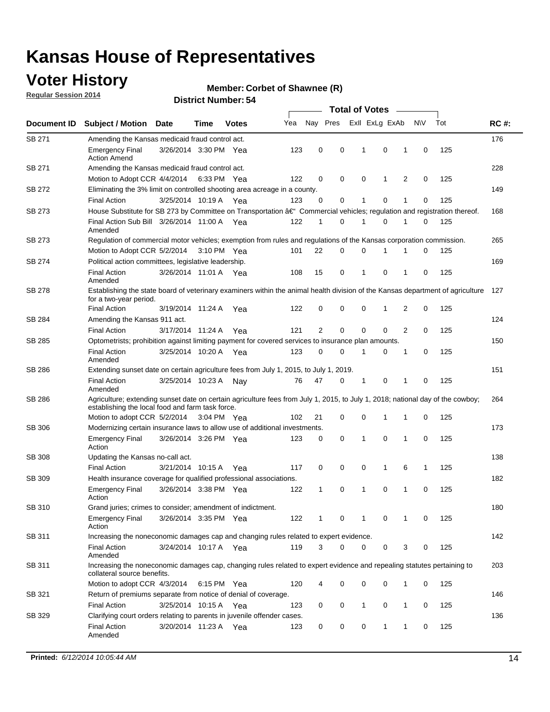### **Voter History**

**Regular Session 2014**

#### **Member: Corbet of Shawnee (R)**

|               |                                                                                                                                                                                    |                       |      |              |     |          |   | <b>Total of Votes</b> |             |                |             |     |             |
|---------------|------------------------------------------------------------------------------------------------------------------------------------------------------------------------------------|-----------------------|------|--------------|-----|----------|---|-----------------------|-------------|----------------|-------------|-----|-------------|
| Document ID   | <b>Subject / Motion Date</b>                                                                                                                                                       |                       | Time | <b>Votes</b> | Yea | Nay Pres |   | Exll ExLg ExAb        |             |                | <b>NV</b>   | Tot | <b>RC#:</b> |
| SB 271        | Amending the Kansas medicaid fraud control act.                                                                                                                                    |                       |      |              |     |          |   |                       |             |                |             |     | 176         |
|               | <b>Emergency Final</b><br><b>Action Amend</b>                                                                                                                                      | 3/26/2014 3:30 PM Yea |      |              | 123 | 0        | 0 | 1                     | 0           | 1              | 0           | 125 |             |
| SB 271        | Amending the Kansas medicaid fraud control act.                                                                                                                                    |                       |      |              |     |          |   |                       |             |                |             |     | 228         |
|               | Motion to Adopt CCR 4/4/2014 6:33 PM Yea                                                                                                                                           |                       |      |              | 122 | 0        | 0 | 0                     | 1           | 2              | 0           | 125 |             |
| SB 272        | Eliminating the 3% limit on controlled shooting area acreage in a county.                                                                                                          |                       |      |              |     |          |   |                       |             |                |             |     | 149         |
|               | <b>Final Action</b>                                                                                                                                                                | 3/25/2014 10:19 A Yea |      |              | 123 | 0        | 0 | 1                     | 0           | 1              | 0           | 125 |             |
| SB 273        | House Substitute for SB 273 by Committee on Transportation †Commercial vehicles; regulation and registration thereof.                                                              |                       |      |              |     |          |   |                       |             |                |             |     | 168         |
|               | Final Action Sub Bill 3/26/2014 11:00 A Yea<br>Amended                                                                                                                             |                       |      |              | 122 | 1        | 0 | -1                    | 0           | 1              | 0           | 125 |             |
| SB 273        | Regulation of commercial motor vehicles; exemption from rules and regulations of the Kansas corporation commission.                                                                |                       |      |              |     |          |   |                       |             |                |             |     | 265         |
|               | Motion to Adopt CCR 5/2/2014 3:10 PM Yea                                                                                                                                           |                       |      |              | 101 | 22       | 0 | 0                     | 1           | 1              | 0           | 125 |             |
| SB 274        | Political action committees, legislative leadership.                                                                                                                               |                       |      |              |     |          |   |                       |             |                |             |     | 169         |
|               | <b>Final Action</b><br>Amended                                                                                                                                                     | 3/26/2014 11:01 A Yea |      |              | 108 | 15       | 0 | -1                    | 0           | 1              | 0           | 125 |             |
| SB 278        | Establishing the state board of veterinary examiners within the animal health division of the Kansas department of agriculture<br>for a two-year period.                           |                       |      |              |     |          |   |                       |             |                |             |     | 127         |
|               | <b>Final Action</b>                                                                                                                                                                | 3/19/2014 11:24 A     |      | Yea          | 122 | 0        | 0 | 0                     | 1           | 2              | 0           | 125 |             |
| SB 284        | Amending the Kansas 911 act.                                                                                                                                                       |                       |      |              |     |          |   |                       |             |                |             |     | 124         |
|               | <b>Final Action</b>                                                                                                                                                                | 3/17/2014 11:24 A     |      | Yea          | 121 | 2        | 0 | 0                     | $\mathbf 0$ | $\overline{2}$ | 0           | 125 |             |
| SB 285        | Optometrists; prohibition against limiting payment for covered services to insurance plan amounts.                                                                                 |                       |      |              |     |          |   |                       |             |                |             |     | 150         |
|               | <b>Final Action</b><br>Amended                                                                                                                                                     | 3/25/2014 10:20 A Yea |      |              | 123 | 0        | 0 | $\mathbf 1$           | 0           | 1              | 0           | 125 |             |
| SB 286        | Extending sunset date on certain agriculture fees from July 1, 2015, to July 1, 2019.                                                                                              |                       |      |              |     |          |   |                       |             |                |             |     | 151         |
|               | <b>Final Action</b><br>Amended                                                                                                                                                     | 3/25/2014 10:23 A     |      | Nay          | 76  | 47       | 0 | $\mathbf{1}$          | 0           | 1              | $\mathbf 0$ | 125 |             |
| SB 286        | Agriculture; extending sunset date on certain agriculture fees from July 1, 2015, to July 1, 2018; national day of the cowboy;<br>establishing the local food and farm task force. |                       |      |              |     |          |   |                       |             |                |             |     | 264         |
|               | Motion to adopt CCR 5/2/2014 3:04 PM Yea                                                                                                                                           |                       |      |              | 102 | 21       | 0 | 0                     | $\mathbf 1$ | 1              | 0           | 125 |             |
| SB 306        | Modernizing certain insurance laws to allow use of additional investments.                                                                                                         |                       |      |              |     |          |   |                       |             |                |             |     | 173         |
|               | <b>Emergency Final</b><br>Action                                                                                                                                                   | 3/26/2014 3:26 PM Yea |      |              | 123 | 0        | 0 | 1                     | 0           | 1              | 0           | 125 |             |
| <b>SB 308</b> | Updating the Kansas no-call act.                                                                                                                                                   |                       |      |              |     |          |   |                       |             |                |             |     | 138         |
|               | <b>Final Action</b>                                                                                                                                                                | 3/21/2014 10:15 A     |      | Yea          | 117 | 0        | 0 | 0                     | 1           | 6              | 1           | 125 |             |
| SB 309        | Health insurance coverage for qualified professional associations.                                                                                                                 |                       |      |              |     |          |   |                       |             |                |             |     | 182         |
|               | <b>Emergency Final</b><br>Action                                                                                                                                                   | 3/26/2014 3:38 PM Yea |      |              | 122 | 1        | 0 | $\mathbf{1}$          | 0           | 1              | $\mathbf 0$ | 125 |             |
| SB 310        | Grand juries; crimes to consider; amendment of indictment.                                                                                                                         |                       |      |              |     |          |   |                       |             |                |             |     | 180         |
|               | <b>Emergency Final</b><br>Action                                                                                                                                                   | 3/26/2014 3:35 PM Yea |      |              | 122 | 1        | 0 | 1                     | 0           | 1              | 0           | 125 |             |
| SB 311        | Increasing the noneconomic damages cap and changing rules related to expert evidence.                                                                                              |                       |      |              |     |          |   |                       |             |                |             |     | 142         |
|               | <b>Final Action</b><br>Amended                                                                                                                                                     | 3/24/2014 10:17 A Yea |      |              | 119 | 3        | 0 | 0                     | 0           | 3              | 0           | 125 |             |
| SB 311        | Increasing the noneconomic damages cap, changing rules related to expert evidence and repealing statutes pertaining to<br>collateral source benefits.                              |                       |      |              |     |          |   |                       |             |                |             |     | 203         |
|               | Motion to adopt CCR 4/3/2014 6:15 PM Yea                                                                                                                                           |                       |      |              | 120 | 4        | 0 | 0                     | 0           | 1              | 0           | 125 |             |
| SB 321        | Return of premiums separate from notice of denial of coverage.                                                                                                                     |                       |      |              |     |          |   |                       |             |                |             |     | 146         |
|               | <b>Final Action</b>                                                                                                                                                                | 3/25/2014 10:15 A Yea |      |              | 123 | 0        | 0 | 1                     | 0           | 1              | 0           | 125 |             |
| SB 329        | Clarifying court orders relating to parents in juvenile offender cases.<br><b>Final Action</b><br>Amended                                                                          | 3/20/2014 11:23 A Yea |      |              | 123 | 0        | 0 | 0                     | 1           | 1              | 0           | 125 | 136         |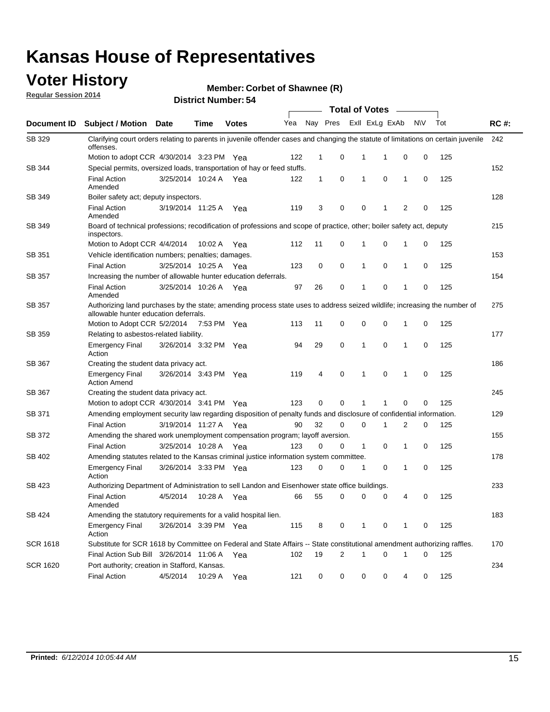### **Voter History**

**Regular Session 2014**

**Member: Corbet of Shawnee (R)** 

|                 |                                                                                                                                                                    |                       |             |              |     |              |   | <b>Total of Votes</b> |             |                |             |     |             |
|-----------------|--------------------------------------------------------------------------------------------------------------------------------------------------------------------|-----------------------|-------------|--------------|-----|--------------|---|-----------------------|-------------|----------------|-------------|-----|-------------|
| Document ID     | <b>Subject / Motion Date</b>                                                                                                                                       |                       | <b>Time</b> | <b>Votes</b> | Yea | Nay Pres     |   | Exll ExLg ExAb        |             |                | <b>NV</b>   | Tot | <b>RC#:</b> |
| SB 329          | Clarifying court orders relating to parents in juvenile offender cases and changing the statute of limitations on certain juvenile<br>offenses.                    |                       |             |              |     |              |   |                       |             |                |             |     | 242         |
|                 | Motion to adopt CCR 4/30/2014 3:23 PM Yea                                                                                                                          |                       |             |              | 122 | 1            | 0 | 1                     | 1           | $\mathbf 0$    | 0           | 125 |             |
| SB 344          | Special permits, oversized loads, transportation of hay or feed stuffs.                                                                                            |                       |             |              |     |              |   |                       |             |                |             |     | 152         |
|                 | <b>Final Action</b><br>Amended                                                                                                                                     | 3/25/2014 10:24 A     |             | Yea          | 122 | $\mathbf{1}$ | 0 | 1                     | 0           | $\mathbf{1}$   | 0           | 125 |             |
| SB 349          | Boiler safety act; deputy inspectors.                                                                                                                              |                       |             |              |     |              |   |                       |             |                |             |     | 128         |
|                 | <b>Final Action</b><br>Amended                                                                                                                                     | 3/19/2014 11:25 A     |             | Yea          | 119 | 3            | 0 | 0                     | -1          | $\overline{2}$ | 0           | 125 |             |
| <b>SB 349</b>   | Board of technical professions; recodification of professions and scope of practice, other; boiler safety act, deputy<br>inspectors.                               |                       |             |              |     |              |   |                       |             |                |             |     | 215         |
|                 | Motion to Adopt CCR 4/4/2014                                                                                                                                       |                       | 10:02 A     | Yea          | 112 | 11           | 0 | 1                     | $\mathbf 0$ | 1              | 0           | 125 |             |
| SB 351          | Vehicle identification numbers; penalties; damages.                                                                                                                |                       |             |              |     |              |   |                       |             |                |             |     | 153         |
|                 | <b>Final Action</b>                                                                                                                                                | 3/25/2014 10:25 A     |             | Yea          | 123 | 0            | 0 | $\mathbf{1}$          | $\mathbf 0$ | $\mathbf{1}$   | 0           | 125 |             |
| <b>SB 357</b>   | Increasing the number of allowable hunter education deferrals.                                                                                                     |                       |             |              |     |              |   |                       |             |                |             |     | 154         |
|                 | <b>Final Action</b><br>Amended                                                                                                                                     | 3/25/2014 10:26 A     |             | Yea          | 97  | 26           | 0 | 1                     | $\mathbf 0$ | 1              | 0           | 125 |             |
| SB 357          | Authorizing land purchases by the state; amending process state uses to address seized wildlife; increasing the number of<br>allowable hunter education deferrals. |                       |             |              |     |              |   |                       |             |                |             |     | 275         |
|                 | Motion to Adopt CCR 5/2/2014                                                                                                                                       |                       | 7:53 PM Yea |              | 113 | 11           | 0 | 0                     | $\mathbf 0$ | 1              | 0           | 125 |             |
| SB 359          | Relating to asbestos-related liability.                                                                                                                            |                       |             |              |     |              |   |                       |             |                |             |     | 177         |
|                 | <b>Emergency Final</b><br>Action                                                                                                                                   | 3/26/2014 3:32 PM Yea |             |              | 94  | 29           | 0 | 1                     | $\mathbf 0$ | 1              | 0           | 125 |             |
| SB 367          | Creating the student data privacy act.                                                                                                                             |                       |             |              |     |              |   |                       |             |                |             |     | 186         |
|                 | <b>Emergency Final</b><br><b>Action Amend</b>                                                                                                                      | 3/26/2014 3:43 PM Yea |             |              | 119 | 4            | 0 | 1                     | $\mathbf 0$ | 1              | 0           | 125 |             |
| SB 367          | Creating the student data privacy act.                                                                                                                             |                       |             |              |     |              |   |                       |             |                |             |     | 245         |
|                 | Motion to adopt CCR 4/30/2014 3:41 PM Yea                                                                                                                          |                       |             |              | 123 | 0            | 0 | 1                     | 1           | $\mathbf 0$    | 0           | 125 |             |
| SB 371          | Amending employment security law regarding disposition of penalty funds and disclosure of confidential information.                                                |                       |             |              |     |              |   |                       |             |                |             |     | 129         |
|                 | <b>Final Action</b>                                                                                                                                                | 3/19/2014 11:27 A Yea |             |              | 90  | 32           | 0 | 0                     | 1           | 2              | 0           | 125 |             |
| SB 372          | Amending the shared work unemployment compensation program; layoff aversion.                                                                                       |                       |             |              |     |              |   |                       |             |                |             |     | 155         |
|                 | <b>Final Action</b>                                                                                                                                                | 3/25/2014 10:28 A     |             | Yea          | 123 | 0            | 0 | $\mathbf{1}$          | 0           | $\mathbf{1}$   | 0           | 125 |             |
| SB 402          | Amending statutes related to the Kansas criminal justice information system committee.                                                                             |                       |             |              |     |              |   |                       |             |                |             |     | 178         |
|                 | <b>Emergency Final</b><br>Action                                                                                                                                   | 3/26/2014 3:33 PM Yea |             |              | 123 | 0            | 0 | 1                     | 0           | $\mathbf{1}$   | 0           | 125 |             |
| SB 423          | Authorizing Department of Administration to sell Landon and Eisenhower state office buildings.                                                                     |                       |             |              |     |              |   |                       |             |                |             |     | 233         |
|                 | <b>Final Action</b><br>Amended                                                                                                                                     | 4/5/2014              | 10:28 A     | Yea          | 66  | 55           | 0 | 0                     | 0           | 4              | 0           | 125 |             |
| SB 424          | Amending the statutory requirements for a valid hospital lien.                                                                                                     |                       |             |              |     |              |   |                       |             |                |             |     | 183         |
|                 | Emergency Final<br>Action                                                                                                                                          | 3/26/2014 3:39 PM Yea |             |              | 115 | 8            | 0 | $\mathbf{1}$          | 0           | 1              | 0           | 125 |             |
| <b>SCR 1618</b> | Substitute for SCR 1618 by Committee on Federal and State Affairs -- State constitutional amendment authorizing raffles.                                           |                       |             |              |     |              |   |                       |             |                |             |     | 170         |
|                 | Final Action Sub Bill 3/26/2014 11:06 A Yea                                                                                                                        |                       |             |              | 102 | 19           | 2 | 1                     | $\mathbf 0$ | 1              | $\mathbf 0$ | 125 |             |
| <b>SCR 1620</b> | Port authority; creation in Stafford, Kansas.                                                                                                                      |                       |             |              |     |              |   |                       |             |                |             |     | 234         |
|                 | <b>Final Action</b>                                                                                                                                                | 4/5/2014              | 10:29 A     | Yea          | 121 | 0            | 0 | 0                     | 0           | 4              | 0           | 125 |             |